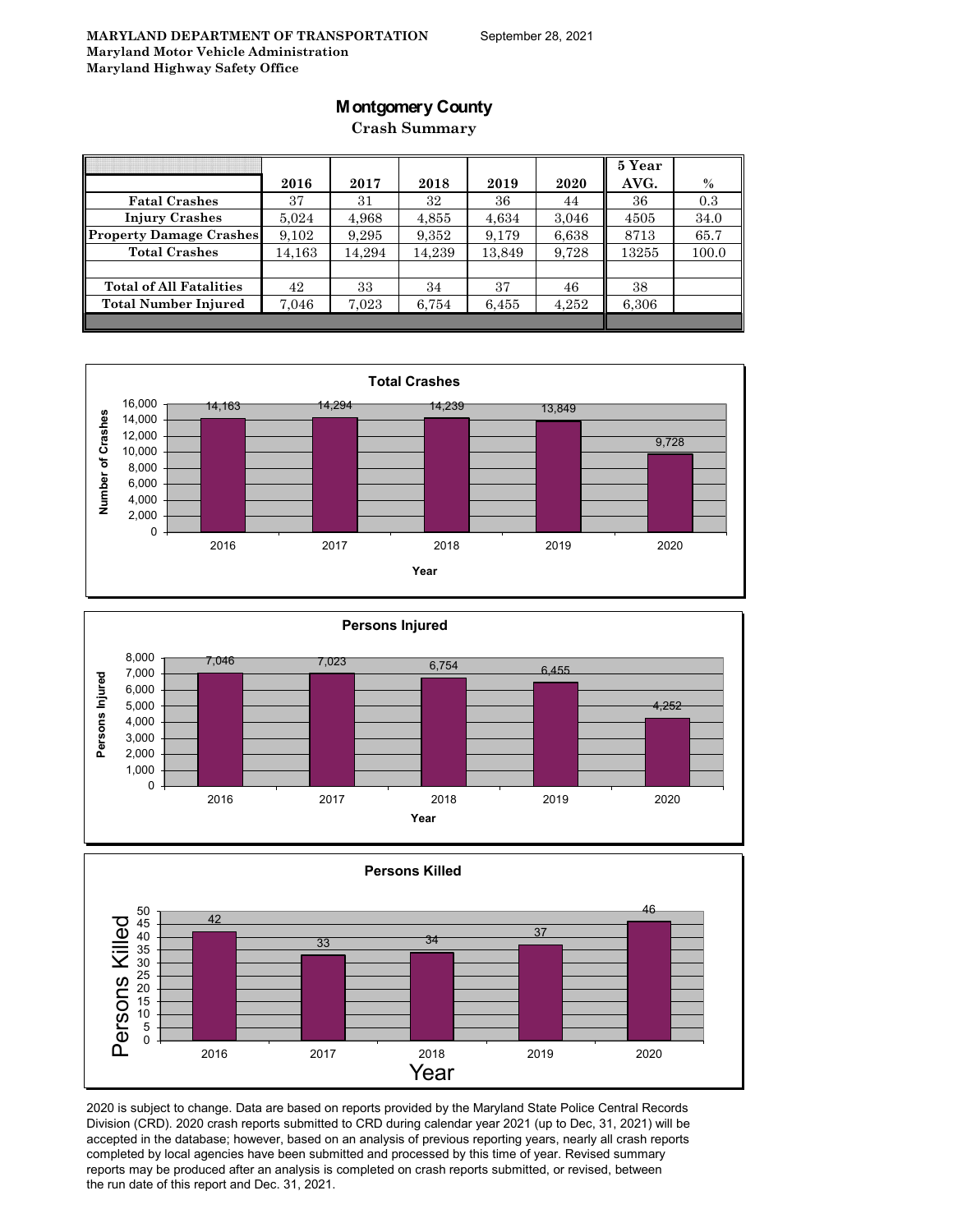## **Montgomery County**

**Crash Summary**

|                                |        |        |        |        |       | 5 Year |       |
|--------------------------------|--------|--------|--------|--------|-------|--------|-------|
|                                | 2016   | 2017   | 2018   | 2019   | 2020  | AVG.   | $\%$  |
| <b>Fatal Crashes</b>           | 37     | 31     | 32     | 36     | 44    | 36     | 0.3   |
| <b>Injury Crashes</b>          | 5.024  | 4,968  | 4,855  | 4,634  | 3,046 | 4505   | 34.0  |
| <b>Property Damage Crashes</b> | 9,102  | 9.295  | 9,352  | 9,179  | 6,638 | 8713   | 65.7  |
| <b>Total Crashes</b>           | 14,163 | 14,294 | 14,239 | 13,849 | 9,728 | 13255  | 100.0 |
|                                |        |        |        |        |       |        |       |
| <b>Total of All Fatalities</b> | 42     | 33     | 34     | 37     | 46    | 38     |       |
| <b>Total Number Injured</b>    | 7,046  | 7,023  | 6,754  | 6,455  | 4,252 | 6,306  |       |
|                                |        |        |        |        |       |        |       |







2020 is subject to change. Data are based on reports provided by the Maryland State Police Central Records Division (CRD). 2020 crash reports submitted to CRD during calendar year 2021 (up to Dec, 31, 2021) will be accepted in the database; however, based on an analysis of previous reporting years, nearly all crash reports completed by local agencies have been submitted and processed by this time of year. Revised summary reports may be produced after an analysis is completed on crash reports submitted, or revised, between the run date of this report and Dec. 31, 2021.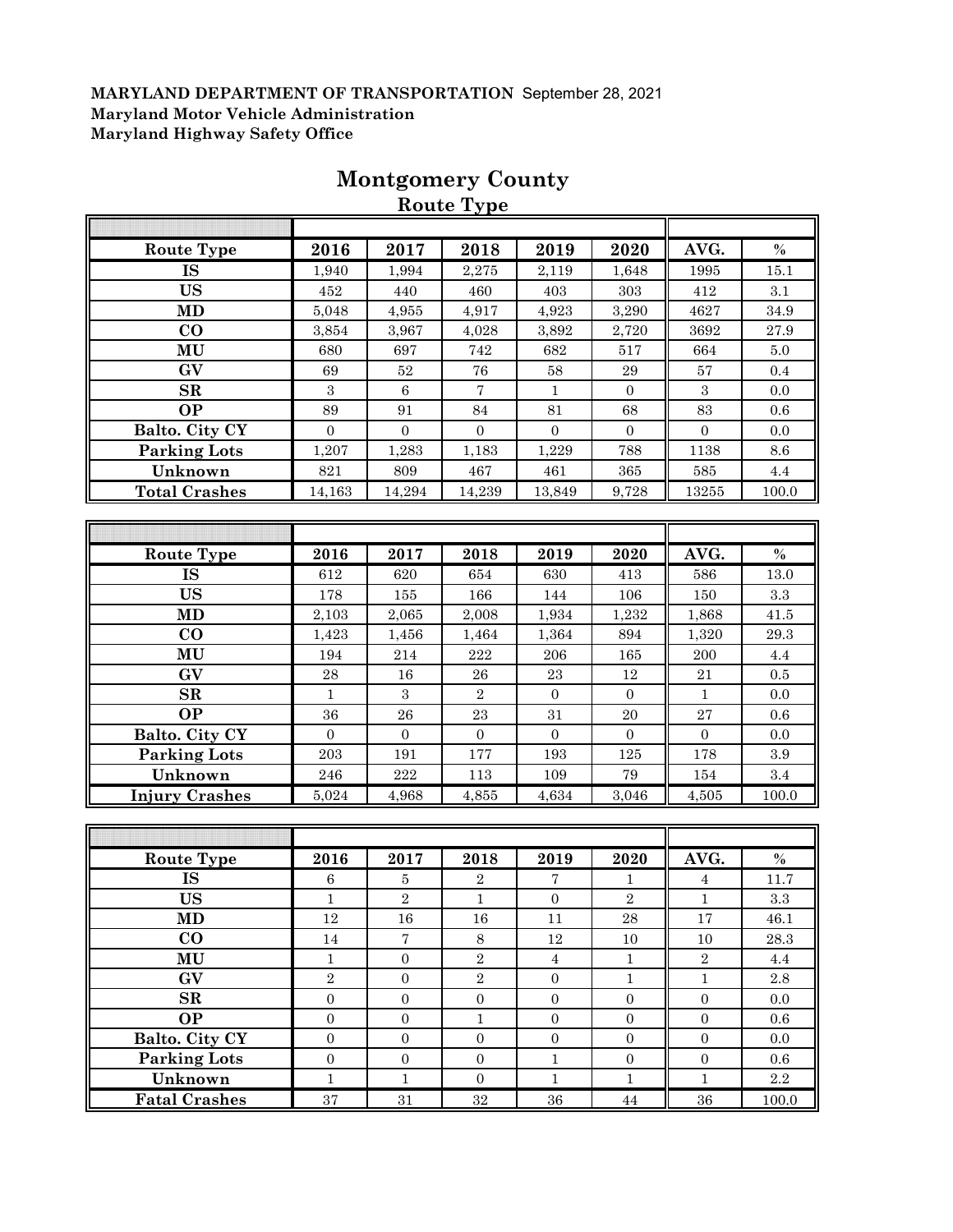|                        |                  |                   | Route Type       |                  |                  |                  |               |
|------------------------|------------------|-------------------|------------------|------------------|------------------|------------------|---------------|
|                        |                  |                   |                  |                  |                  |                  |               |
| Route Type             | 2016             | 2017              | 2018             | 2019             | 2020             | AVG.             | $\%$          |
| <b>IS</b>              | 1,940            | 1,994             | 2,275            | 2,119            | 1,648            | 1995             | 15.1          |
| <b>US</b>              | 452              | 440               | 460              | 403              | 303              | 412              | 3.1           |
| <b>MD</b>              | 5,048            | 4,955             | 4,917            | 4,923            | 3,290            | 4627             | 34.9          |
| $\bf CO$               | 3,854            | 3,967             | 4,028            | 3,892            | 2,720            | 3692             | $27.9\,$      |
| MU                     | 680              | 697               | 742              | 682              | 517              | 664              | 5.0           |
| GV                     | 69               | $52\,$            | ${\bf 76}$       | $58\,$           | $\bf 29$         | $57\,$           | $0.4\,$       |
| $\mathbf{SR}$          | $\boldsymbol{3}$ | $\,6\,$           | 7                | $\mathbf{1}$     | $\boldsymbol{0}$ | $\boldsymbol{3}$ | 0.0           |
| <b>OP</b>              | 89               | 91                | 84               | 81               | 68               | 83               | $0.6\,$       |
| Balto. City CY         | $\overline{0}$   | $\boldsymbol{0}$  | $\boldsymbol{0}$ | $\mathbf{0}$     | $\overline{0}$   | $\mathbf{0}$     | 0.0           |
| <b>Parking Lots</b>    | 1,207            | 1,283             | 1,183            | 1,229            | 788              | 1138             | 8.6           |
| Unknown                | 821              | 809               | 467              | 461              | 365              | 585              | $4.4\,$       |
| <b>Total Crashes</b>   | 14,163           | 14,294            | 14,239           | 13,849           | 9,728            | 13255            | 100.0         |
|                        |                  |                   |                  |                  |                  |                  |               |
|                        |                  |                   |                  |                  |                  |                  |               |
| <b>Route Type</b>      | 2016             | 2017              | 2018             | 2019             | 2020             | AVG.             | $\frac{0}{0}$ |
| $\overline{\text{IS}}$ | 612              | 620               | 654              | 630              | 413              | 586              | 13.0          |
| <b>US</b>              | 178              | 155               | 166              | 144              | 106              | 150              | $\!.3$        |
| <b>MD</b>              | 2,103            | 2,065             | 2,008            | 1,934            | 1,232            | 1,868            | 41.5          |
| $\bf CO$               | 1,423            | 1,456             | 1,464            | 1,364            | 894              | 1,320            | 29.3          |
| MU                     | 194              | 214               | 222              | 206              | 165              | 200              | 4.4           |
| GV                     | $\bf 28$         | $16\,$            | ${\bf 26}$       | $\bf 23$         | 12               | 21               | 0.5           |
| $\mathbf{SR}$          | $\mathbf{1}$     | $\sqrt{3}$        | $\sqrt{2}$       | $\boldsymbol{0}$ | $\mathbf{0}$     | $\mathbf{1}$     | 0.0           |
| <b>OP</b>              | 36               | ${\bf 26}$        | $\bf 23$         | 31               | 20               | 27               | 0.6           |
| Balto. City CY         | $\mathbf{0}$     | $\mathbf{0}$      | $\mathbf{0}$     | $\mathbf{0}$     | $\mathbf{0}$     | $\overline{0}$   | $0.0\,$       |
| <b>Parking Lots</b>    | 203              | 191               | 177              | 193              | 125              | 178              | $\!.9$        |
| Unknown                | 246              | $\bf 222$         | 113              | 109              | 79               | 154              | 3.4           |
| <b>Injury Crashes</b>  | 5,024            | 4,968             | 4,855            | 4,634            | 3,046            | 4,505            | 100.0         |
|                        |                  |                   |                  |                  |                  |                  |               |
|                        |                  |                   |                  |                  |                  |                  |               |
| <b>Route Type</b>      | 2016             | 2017              | 2018             | 2019             | 2020             | AVG.             | $\%$          |
| IS                     | $\,6$            | $\bf 5$           | $\,2$            | 7                | $\mathbf{1}$     | $\overline{4}$   | 11.7          |
| <b>US</b>              | $\mathbf{1}$     | $\overline{2}$    | $\mathbf{1}$     | $\overline{0}$   | $\sqrt{2}$       | $\mathbf{1}$     | 3.3           |
| MD                     | $12\,$           | $16\,$            | $16\,$           | 11               | $\bf 28$         | $17\,$           | 46.1          |
| $\bf{CO}$              | 14               | $\scriptstyle{7}$ | $8\,$            | $12\,$           | 10               | 10               | 28.3          |
| MU                     | $\mathbf{1}$     | $\mathbf{0}$      | $\sqrt{2}$       | $\overline{4}$   | $\mathbf{1}$     | $\overline{2}$   | 4.4           |
| GV                     | $\sqrt{2}$       | $\boldsymbol{0}$  | $\sqrt{2}$       | $\boldsymbol{0}$ | $1\,$            | $\mathbf{1}$     | 2.8           |
| $\mathbf{SR}$          | $\boldsymbol{0}$ | $\boldsymbol{0}$  | $\boldsymbol{0}$ | $\boldsymbol{0}$ | $\boldsymbol{0}$ | $\mathbf{0}$     | 0.0           |
| <b>OP</b>              | $\mathbf{0}$     | $\mathbf{0}$      | $\mathbf{1}$     | $\mathbf{0}$     | $\overline{0}$   | $\mathbf{0}$     | 0.6           |
| Balto. City CY         | $\boldsymbol{0}$ | $\mathbf{0}$      | $\boldsymbol{0}$ | $\boldsymbol{0}$ | $\overline{0}$   | $\boldsymbol{0}$ | 0.0           |
| <b>Parking Lots</b>    | $\boldsymbol{0}$ | $\boldsymbol{0}$  | $\boldsymbol{0}$ | $\,1$            | $\overline{0}$   | $\boldsymbol{0}$ | 0.6           |
| Unknown                | $\mathbf{1}$     | $\mathbf{1}$      | $\mathbf{0}$     | $\mathbf{1}$     | $\mathbf{1}$     | $\mathbf{1}$     | $2.2\,$       |
| <b>Fatal Crashes</b>   | $\rm 37$         | 31                | $32\,$           | $36\,$           | $\rm 44$         | $36\,$           | 100.0         |

# **Montgomery County**

**Route Type**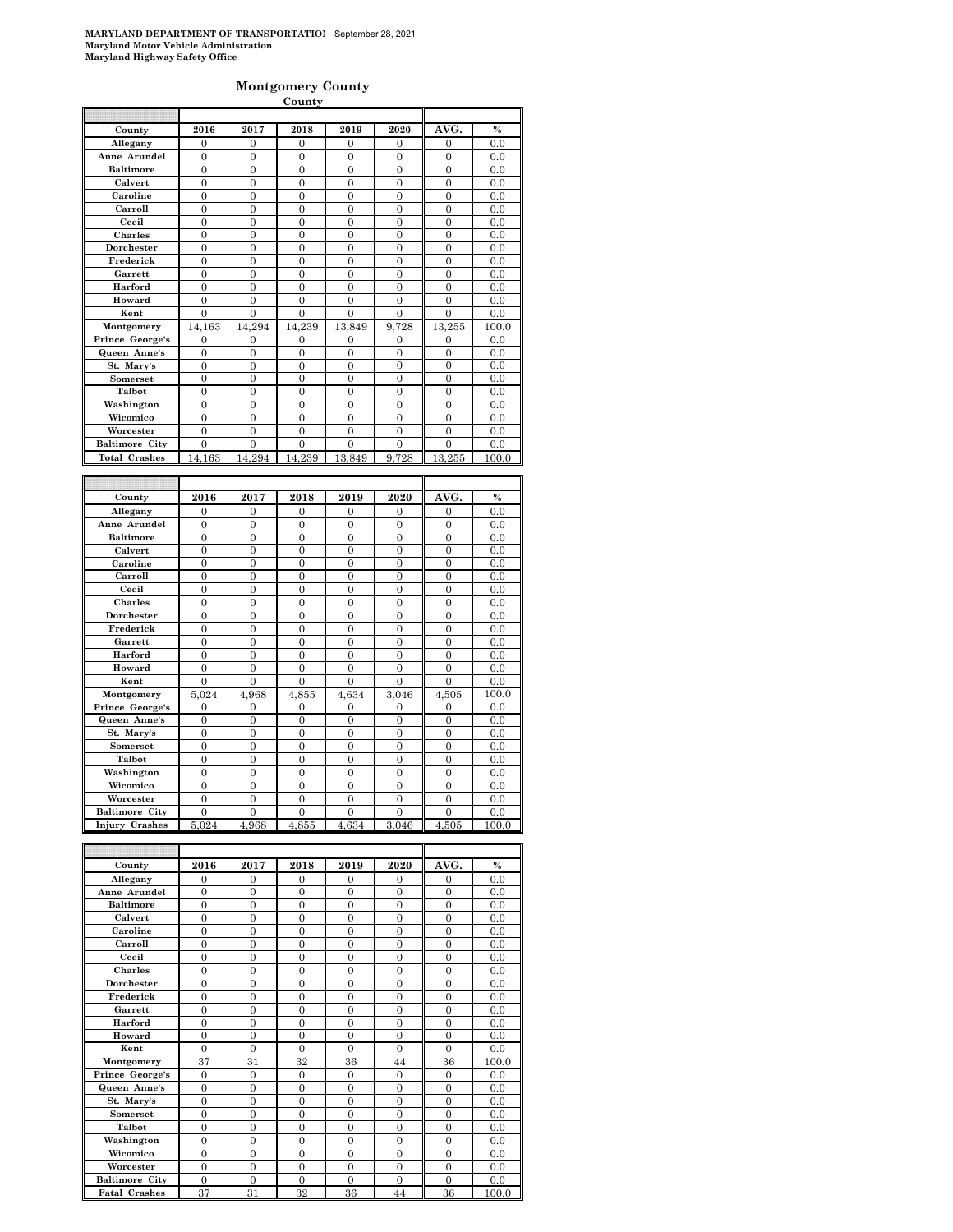#### **Montgomery County**

|                          |                  |                       | County           |                  |                  |                                |                       |
|--------------------------|------------------|-----------------------|------------------|------------------|------------------|--------------------------------|-----------------------|
|                          |                  |                       |                  |                  |                  |                                |                       |
| County                   | 2016             | 2017                  | 2018             | 2019             | 2020             | AVG.                           | $\frac{0}{0}$         |
| Allegany                 | 0                | $\mathbf{0}$          | $\mathbf{0}$     | $\mathbf{0}$     | $\mathbf{0}$     | $\mathbf{0}$                   | 0.0                   |
| Anne Arundel             | $\boldsymbol{0}$ | $\boldsymbol{0}$      | $\mathbf{0}$     | $\boldsymbol{0}$ | $\boldsymbol{0}$ | $\boldsymbol{0}$               | 0.0                   |
| <b>Baltimore</b>         | $\boldsymbol{0}$ | $\boldsymbol{0}$      | $\overline{0}$   | $\mathbf{0}$     | $\overline{0}$   | $\boldsymbol{0}$               | 0.0                   |
| Calvert                  | 0                | $\overline{0}$        | $\mathbf{0}$     | 0                | 0                | $\mathbf{0}$                   | 0.0                   |
| Caroline                 | $\boldsymbol{0}$ | $\boldsymbol{0}$      | $\bf{0}$         | 0                | $\boldsymbol{0}$ | $\boldsymbol{0}$               | 0.0                   |
| Carroll                  | $\overline{0}$   | $\overline{0}$        | $\overline{0}$   | $\overline{0}$   | $\overline{0}$   | $\overline{0}$                 | 0.0                   |
| Cecil                    | $\boldsymbol{0}$ | $\boldsymbol{0}$      | $\mathbf{0}$     | 0                | $\boldsymbol{0}$ | $\boldsymbol{0}$               | 0.0                   |
| Charles                  | $\mathbf{0}$     | $\mathbf{0}$          | $\overline{0}$   | $\mathbf{0}$     | $\overline{0}$   | $\overline{0}$                 | 0.0                   |
| Dorchester               | 0                | $\overline{0}$        | $\mathbf{0}$     | 0                | $\mathbf{0}$     | $\mathbf{0}$                   | 0.0                   |
| Frederick                | 0                | $\boldsymbol{0}$      | $\bf{0}$         | 0                | 0                | 0                              | 0.0                   |
| Garrett                  | $\overline{0}$   | $\overline{0}$        | $\overline{0}$   | 0                | 0                | $\overline{0}$                 | 0.0                   |
| Harford                  | $\boldsymbol{0}$ | $\boldsymbol{0}$      | $\mathbf{0}$     | 0                | $\boldsymbol{0}$ | $\boldsymbol{0}$               | 0.0                   |
| Howard                   | $\overline{0}$   | $\overline{0}$        | $\overline{0}$   | $\overline{0}$   | $\overline{0}$   | $\overline{0}$                 | 0.0                   |
| Kent                     | 0                | $\overline{0}$        | $\mathbf{0}$     | 0                | $\mathbf{0}$     | $\mathbf{0}$                   | 0.0                   |
| Montgomery               | 14,163           | 14,294                | 14,239           | 13,849           | 9,728            | 13,255                         | 100.0                 |
| Prince George's          | 0                | 0                     | $\mathbf{0}$     | 0                | 0                | $\mathbf{0}$                   | 0.0                   |
| Queen Anne's             | $\boldsymbol{0}$ | $\boldsymbol{0}$      | $\mathbf{0}$     | $\boldsymbol{0}$ | $\mathbf{0}$     | $\boldsymbol{0}$               | 0.0                   |
| St. Mary's               | $\boldsymbol{0}$ | $\boldsymbol{0}$      | $\mathbf{0}$     | $\bf{0}$         | $\overline{0}$   | $\overline{0}$                 | 0.0                   |
| Somerset                 | 0                | $\overline{0}$        | $\mathbf{0}$     | 0                | 0                | $\mathbf{0}$                   | 0.0                   |
| Talbot                   | $\boldsymbol{0}$ | $\boldsymbol{0}$      | $\bf{0}$         | 0                | 0                | 0                              | 0.0                   |
| Washington               | $\overline{0}$   | $\overline{0}$        | $\overline{0}$   | 0                | 0                | $\overline{0}$                 | 0.0                   |
| Wicomico                 | $\boldsymbol{0}$ | $\boldsymbol{0}$      | $\mathbf{0}$     | 0                | $\mathbf{0}$     | $\boldsymbol{0}$               | 0.0                   |
| Worcester                | $\boldsymbol{0}$ | $\mathbf{0}$          | $\overline{0}$   | $\mathbf{0}$     | $\overline{0}$   | $\overline{0}$                 | 0.0                   |
| <b>Baltimore City</b>    | 0                | $\overline{0}$        | $\mathbf{0}$     | 0                | 0                | $\mathbf{0}$                   | 0.0                   |
| <b>Total Crashes</b>     | 14,163           | 14,294                | 14,239           | 13,849           | 9,728            | 13.255                         | 100.0                 |
|                          |                  |                       |                  |                  |                  |                                |                       |
|                          |                  |                       |                  |                  |                  |                                |                       |
| County                   | 2016             | 2017                  | 2018             | 2019             | 2020             | AVG.                           | $\frac{0}{0}$         |
| Allegany                 | 0                | $\boldsymbol{0}$      | $\mathbf{0}$     | 0                | $\boldsymbol{0}$ | $\boldsymbol{0}$               | 0.0                   |
| Anne Arundel             | 0                | 0                     | $\overline{0}$   | 0                | $\mathbf{0}$     | $\overline{0}$                 | 0.0                   |
| <b>Baltimore</b>         | 0                | $\overline{0}$        | $\mathbf{0}$     | 0                | 0                | $\mathbf{0}$                   | 0.0                   |
| Calvert                  | $\boldsymbol{0}$ | $\boldsymbol{0}$      | $\mathbf{0}$     | 0                | $\boldsymbol{0}$ | $\boldsymbol{0}$               | 0.0                   |
| Caroline                 | $\overline{0}$   | $\overline{0}$        | $\overline{0}$   | $\overline{0}$   | $\overline{0}$   | $\overline{0}$                 | 0.0                   |
| Carroll                  | $\boldsymbol{0}$ | $\boldsymbol{0}$      | $\mathbf{0}$     | 0                | $\boldsymbol{0}$ | $\boldsymbol{0}$               | 0.0                   |
| Cecil                    | $\mathbf{0}$     | $\mathbf{0}$          | $\overline{0}$   | $\mathbf{0}$     | $\overline{0}$   | $\overline{0}$                 | 0.0                   |
| Charles                  | 0                | $\overline{0}$        | $\mathbf{0}$     | 0                | $\mathbf{0}$     | $\mathbf{0}$                   | 0.0                   |
| Dorchester               | $\boldsymbol{0}$ | $\boldsymbol{0}$      | $\bf{0}$         | 0                | 0                | 0                              | 0.0                   |
| Frederick                | $\overline{0}$   | $\overline{0}$        | $\overline{0}$   | $\overline{0}$   | 0                | $\overline{0}$                 | 0.0                   |
| Garrett                  | $\boldsymbol{0}$ | $\boldsymbol{0}$      | $\mathbf{0}$     | $\mathbf{0}$     | $\boldsymbol{0}$ | $\boldsymbol{0}$               | 0.0                   |
| Harford                  |                  | $\overline{0}$        | $\overline{0}$   |                  | $\overline{0}$   | $\overline{0}$                 |                       |
|                          | $\mathbf{0}$     |                       |                  | $\mathbf{0}$     |                  |                                | 0.0                   |
| Howard<br>Kent           | 0                | $\overline{0}$        | 0                | 0                | $\bf{0}$         | $\mathbf{0}$<br>$\overline{0}$ | 0.0                   |
|                          | $\boldsymbol{0}$ | $\boldsymbol{0}$      | $\boldsymbol{0}$ | 0                | $\boldsymbol{0}$ |                                | 0.0                   |
| Montgomery               | 5,024            | 4,968                 | 4,855            | 4,634            | 3,046            | 4,505                          | 100.0                 |
| Prince George's          | 0                | $\boldsymbol{0}$      | $\boldsymbol{0}$ | $\boldsymbol{0}$ | $\mathbf{0}$     | $\boldsymbol{0}$               | 0.0                   |
| Queen Anne's             | 0                | $\boldsymbol{0}$      | $\overline{0}$   | $\bf{0}$         | $\mathbf{0}$     | $\overline{0}$                 | 0.0                   |
| St. Mary's               | 0                | $\overline{0}$        | $\mathbf{0}$     | 0                | $\mathbf{0}$     | $\mathbf{0}$                   | 0.0                   |
| Somerset                 | $\boldsymbol{0}$ | $\boldsymbol{0}$      | $\bf{0}$         | 0                | 0                | 0                              | 0.0                   |
| Talbot                   | $\overline{0}$   | $\overline{0}$        | $\overline{0}$   | $\overline{0}$   | $\overline{0}$   | $\overline{0}$                 | 0.0                   |
| Washington               | $\boldsymbol{0}$ | $\mathbf{0}$          | $\mathbf{0}$     | 0                | $\mathbf{0}$     | $\boldsymbol{0}$               | 0.0                   |
| Wicomico                 | $\mathbf{0}$     | $\mathbf{0}$          | $\mathbf{0}$     | $\mathbf{0}$     | $\mathbf{0}$     | $\boldsymbol{0}$               | 0.0                   |
| Worcester                | 0                | 0                     | 0                | 0                | 0                | 0                              | $_{0.0}$              |
| <b>Baltimore City</b>    | 0                | $\boldsymbol{0}$      | $\boldsymbol{0}$ | $\boldsymbol{0}$ | $\boldsymbol{0}$ | $\boldsymbol{0}$               | 0.0                   |
| <b>Injury Crashes</b>    | 5.024            | 4,968                 | 4,855            | 4,634            | 3,046            | 4,505                          | 100.0                 |
|                          |                  |                       |                  |                  |                  |                                |                       |
| County                   | 2016             | 2017                  | 2018             | 2019             | 2020             | AVG.                           | $\%$                  |
| Allegany                 | 0                | $\boldsymbol{0}$      | 0                | 0                | $\boldsymbol{0}$ | $\boldsymbol{0}$               | 0.0                   |
| Anne Arundel             | 0                | 0                     | 0                | 0                | 0                | 0                              | 0.0                   |
| <b>Baltimore</b>         | 0                | 0                     | $\boldsymbol{0}$ | 0                | 0                | 0                              | 0.0                   |
|                          | $\boldsymbol{0}$ |                       | $\boldsymbol{0}$ | 0                | $\boldsymbol{0}$ | $\boldsymbol{0}$               |                       |
| Calvert<br>Caroline      |                  | 0<br>$\boldsymbol{0}$ | $\boldsymbol{0}$ | $\boldsymbol{0}$ | $\boldsymbol{0}$ |                                | 0.0                   |
|                          | 0                |                       |                  |                  |                  | $\boldsymbol{0}$               | 0.0                   |
| Carroll                  | $\boldsymbol{0}$ | $\boldsymbol{0}$      | $\boldsymbol{0}$ | $\boldsymbol{0}$ | $\boldsymbol{0}$ | $\boldsymbol{0}$               | 0.0                   |
| Cecil<br>$C1$ and $\sim$ | 0                | 0                     | 0                | 0                | 0                | 0<br>$\Delta$                  | 0.0<br>$\overline{0}$ |

| Calvert               | $\Omega$       | $\theta$       | $\theta$       | $\Omega$       | $\Omega$       | $\theta$       | 0.0   |
|-----------------------|----------------|----------------|----------------|----------------|----------------|----------------|-------|
| Caroline              | $\theta$       | $\Omega$       | $\theta$       | $\theta$       | $\Omega$       | $\theta$       | 0.0   |
| Carroll               | $\theta$       | $\Omega$       | $\theta$       | $\Omega$       | $\Omega$       | $\theta$       | 0.0   |
| Cecil                 | $\overline{0}$ | $\overline{0}$ | $\overline{0}$ | $\overline{0}$ | $\overline{0}$ | $\overline{0}$ | 0.0   |
| <b>Charles</b>        | $\Omega$       | $\overline{0}$ | $\theta$       | $\overline{0}$ | $\overline{0}$ | $\overline{0}$ | 0.0   |
| Dorchester            | $\theta$       | $\Omega$       | $\theta$       | $\Omega$       | $\overline{0}$ | $\overline{0}$ | 0.0   |
| Frederick             | $\Omega$       | $\Omega$       | $\theta$       | $\Omega$       | $\Omega$       | $\overline{0}$ | 0.0   |
| Garrett               | $\theta$       | $\theta$       | $\theta$       | $\Omega$       | $\Omega$       | $\theta$       | 0.0   |
| Harford               | $\theta$       | $\Omega$       | $\theta$       | $\Omega$       | $\Omega$       | $\overline{0}$ | 0.0   |
| Howard                | $\Omega$       | $\overline{0}$ | $\theta$       | $\overline{0}$ | $\overline{0}$ | $\overline{0}$ | 0.0   |
| Kent                  | $\Omega$       | $\Omega$       | $\theta$       | $\Omega$       | $\overline{0}$ | $\Omega$       | 0.0   |
|                       |                |                |                |                |                |                |       |
| Montgomery            | 37             | 31             | 32             | 36             | 44             | 36             | 100.0 |
| Prince George's       | $\Omega$       | $\Omega$       | $\theta$       | $\Omega$       | $\Omega$       | $\Omega$       | 0.0   |
| Queen Anne's          | $\Omega$       | $\Omega$       | $\theta$       | $\Omega$       | $\overline{0}$ | $\overline{0}$ | 0.0   |
| St. Mary's            | $\Omega$       | $\Omega$       | $\theta$       | $\Omega$       | $\Omega$       | $\overline{0}$ | 0.0   |
| Somerset              | $\overline{0}$ | $\overline{0}$ | $\theta$       | $\Omega$       | $\overline{0}$ | $\overline{0}$ | 0.0   |
| Talbot                | $\Omega$       | $\theta$       | $\theta$       | $\overline{0}$ | $\overline{0}$ | $\overline{0}$ | 0.0   |
| Washington            | $\mathbf{0}$   | $\mathbf{0}$   | $\overline{0}$ | $\overline{0}$ | $\overline{0}$ | $\overline{0}$ | 0.0   |
| Wicomico              | $\theta$       | $\Omega$       | $\theta$       | $\Omega$       | $\Omega$       | $\overline{0}$ | 0.0   |
| Worcester             | $\theta$       | $\theta$       | $\theta$       | $\Omega$       | $\Omega$       | $\theta$       | 0.0   |
| <b>Baltimore City</b> | $\Omega$       | $\Omega$       | $\theta$       | $\Omega$       | $\Omega$       | $\Omega$       | 0.0   |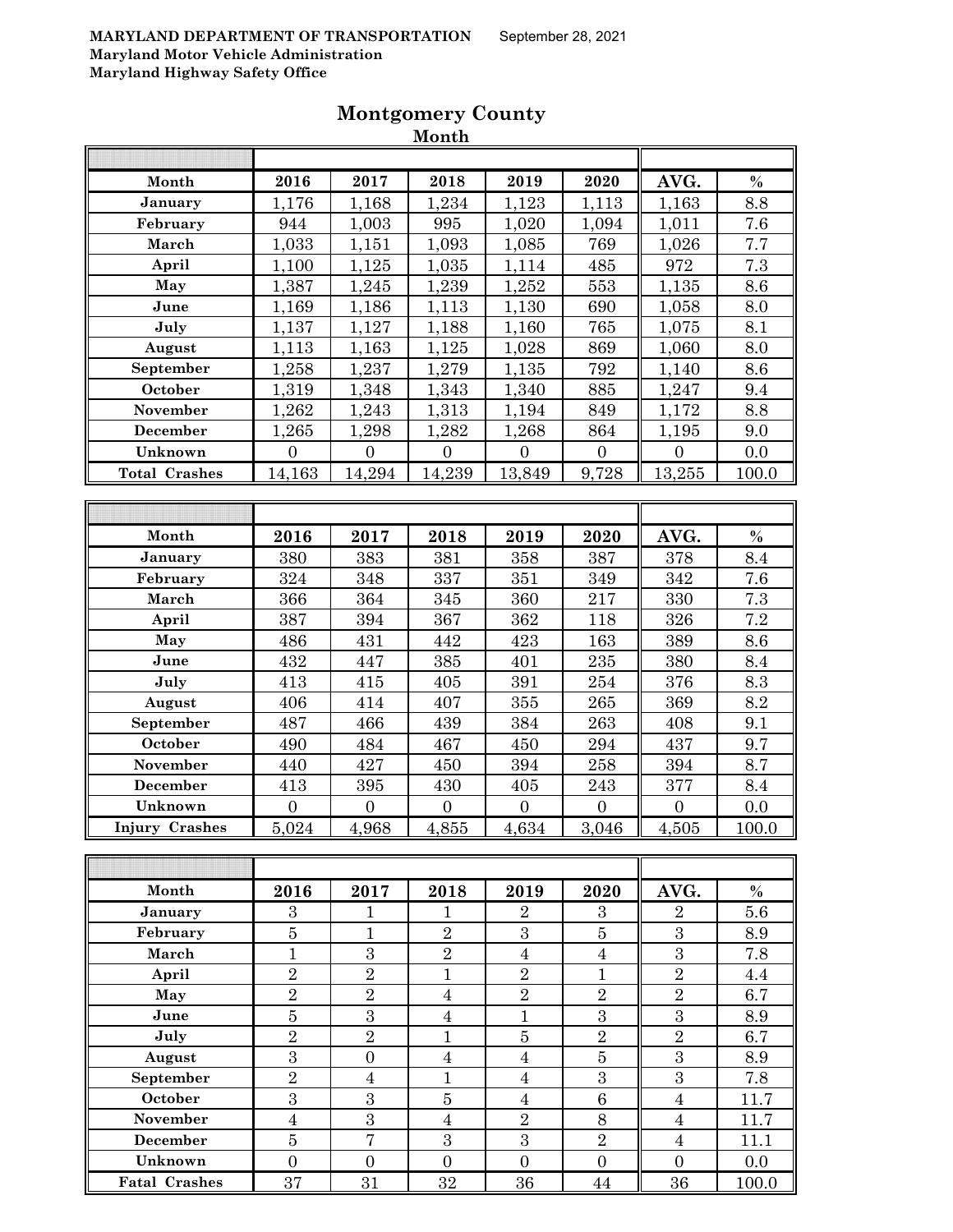|                       |                  |                  | MOUTH            |                  |                  |                  |         |
|-----------------------|------------------|------------------|------------------|------------------|------------------|------------------|---------|
|                       |                  |                  |                  |                  |                  |                  |         |
| Month                 | 2016             | 2017             | 2018             | 2019             | 2020             | AVG.             | $\%$    |
| January               | 1,176            | 1,168            | 1,234            | 1,123            | 1,113            | 1,163            | 8.8     |
| February              | 944              | 1,003            | 995              | 1,020            | 1,094            | 1,011            | 7.6     |
| March                 | 1,033            | 1,151            | 1,093            | 1,085            | 769              | 1,026            | 7.7     |
| April                 | 1,100            | 1,125            | 1,035            | 1,114            | 485              | 972              | 7.3     |
| May                   | 1,387            | 1,245            | 1,239            | 1,252            | 553              | 1,135            | 8.6     |
| June                  | 1,169            | 1,186            | 1,113            | 1,130            | 690              | 1,058            | 8.0     |
| July                  | 1,137            | 1,127            | 1,188            | 1,160            | 765              | 1,075            | 8.1     |
| August                | 1,113            | 1,163            | 1,125            | 1,028            | 869              | 1,060            | 8.0     |
| September             | 1,258            | 1,237            | 1,279            | 1,135            | 792              | 1,140            | 8.6     |
| October               | 1,319            | 1,348            | 1,343            | 1,340            | 885              | 1,247            | 9.4     |
| November              | 1,262            | 1,243            | 1,313            | 1,194            | 849              | 1,172            | 8.8     |
| December              | 1,265            | 1,298            | 1,282            | 1,268            | 864              | 1,195            | 9.0     |
| Unknown               | $\overline{0}$   | $\boldsymbol{0}$ | $\overline{0}$   | $\overline{0}$   | $\overline{0}$   | $\overline{0}$   | 0.0     |
| <b>Total Crashes</b>  | 14,163           | 14,294           | 14,239           | 13,849           | 9,728            | 13,255           | 100.0   |
|                       |                  |                  |                  |                  |                  |                  |         |
|                       |                  |                  |                  |                  |                  |                  |         |
| Month                 | 2016             | 2017             | 2018             | 2019             | 2020             | AVG.             | $\%$    |
| January               | 380              | 383              | 381              | 358              | 387              | 378              | 8.4     |
| February              | 324              | 348              | 337              | 351              | 349              | 342              | 7.6     |
| March                 | 366              | 364              | $345\,$          | 360              | 217              | 330              | 7.3     |
| April                 | 387              | 394              | 367              | 362              | 118              | 326              | 7.2     |
| May                   | 486              | 431              | 442              | 423              | 163              | 389              | 8.6     |
| June                  | 432              | 447              | 385              | 401              | 235              | 380              | 8.4     |
| July                  | 413              | 415              | 405              | 391              | 254              | 376              | 8.3     |
| August                | 406              | 414              | 407              | 355              | 265              | 369              | 8.2     |
| September             | 487              | 466              | 439              | 384              | 263              | 408              | 9.1     |
| October               | 490              | 484              | 467              | 450              | 294              | 437              | 9.7     |
| <b>November</b>       | 440              | 427              | 450              | 394              | 258              | 394              | 8.7     |
| December              | 413              | 395              | 430              | 405              | 243              | 377              | 8.4     |
| Unknown               | $\overline{0}$   | $\overline{0}$   | $\overline{0}$   | $\overline{0}$   | $\overline{0}$   | $\overline{0}$   | 0.0     |
| <b>Injury Crashes</b> | 5,024            | 4,968            | 4,855            | 4,634            | 3,046            | 4,505            | 100.0   |
|                       |                  |                  |                  |                  |                  |                  |         |
|                       |                  |                  |                  |                  |                  |                  |         |
| Month                 | 2016             | 2017             | 2018             | 2019             | 2020             | AVG.             | $\%$    |
| January               | $\boldsymbol{3}$ | 1                | $\mathbf{1}$     | $\overline{2}$   | $\boldsymbol{3}$ | $\boldsymbol{2}$ | $5.6\,$ |
| February              | $\bf 5$          | $\mathbf{1}$     | $\overline{2}$   | $\boldsymbol{3}$ | $\bf 5$          | $\boldsymbol{3}$ | 8.9     |
| March                 | $\mathbf{1}$     | 3                | $\overline{2}$   | $\overline{4}$   | $\overline{4}$   | $\overline{3}$   | 7.8     |
| April                 | $\overline{2}$   | $\overline{2}$   | $\mathbf{1}$     | $\overline{2}$   | $\mathbf{1}$     | $\overline{2}$   | 4.4     |
| May                   | $\overline{2}$   | $\overline{2}$   | $\overline{4}$   | $\overline{2}$   | $\overline{2}$   | $\overline{2}$   | 6.7     |
| June                  | $\bf 5$          | $\overline{3}$   | $\boldsymbol{4}$ | $\mathbf{1}$     | $\boldsymbol{3}$ | $\boldsymbol{3}$ | 8.9     |
| July                  | $\overline{2}$   | $\overline{2}$   | $\mathbf{1}$     | $\overline{5}$   | $\overline{2}$   | $\overline{2}$   | 6.7     |
| August                | $\overline{3}$   | $\overline{0}$   | $\overline{4}$   | $\overline{4}$   | $\overline{5}$   | $\overline{3}$   | 8.9     |

**September** 2 4 1 4 3 3 7.8 **October** | 3 | 3 | 5 | 4 | 6 || 4 | 11.7 **November** 4 4 3 4 2 8 4 11.7 **December** | 5 | 7 | 3 | 3 | 2 || 4 | 11.1 **Unknown** 0 0 0 0 0 0 0.0 **Fatal Crashes** 37 31 32 36 44 36 100.0

# **Montgomery County**

**Month**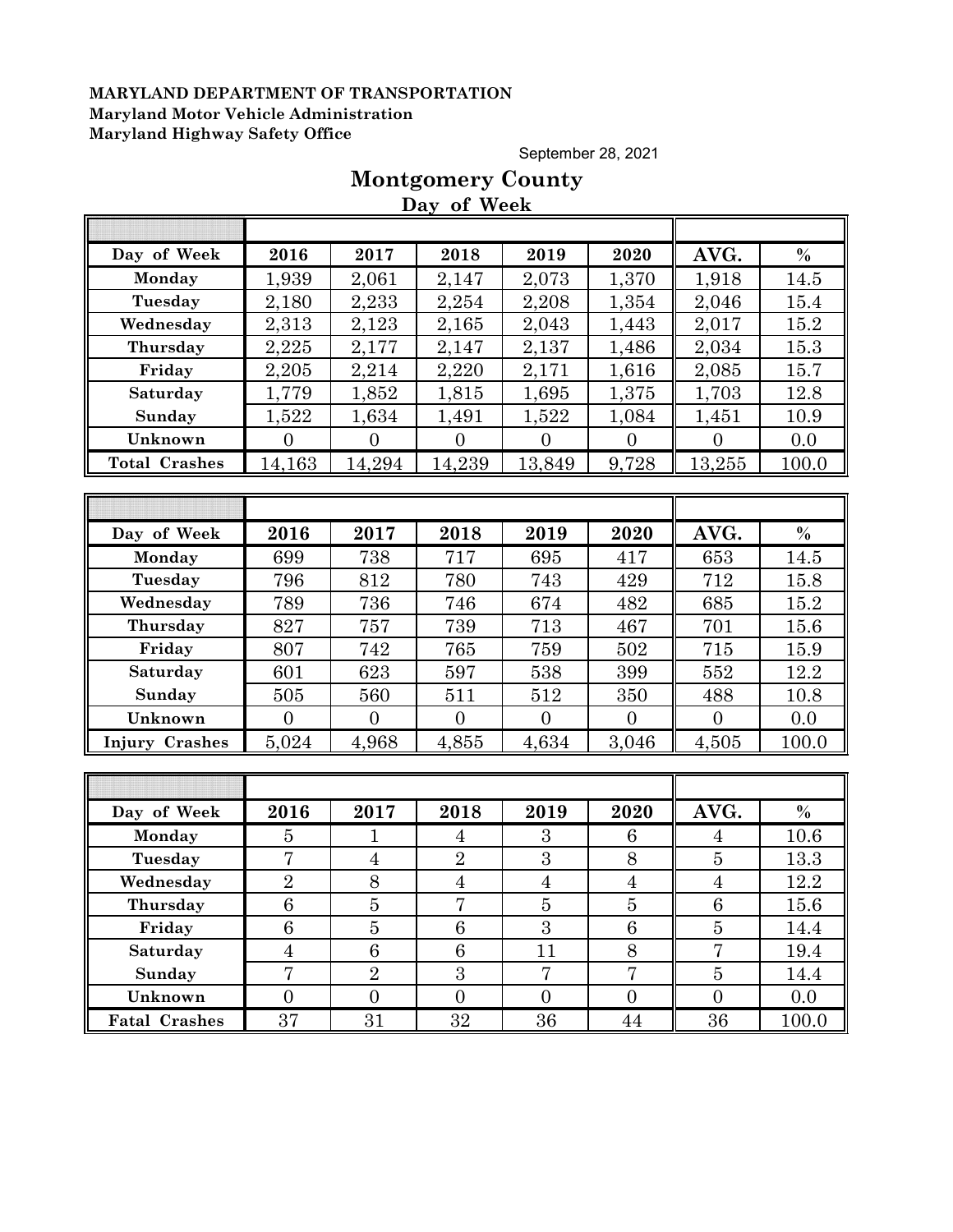September 28, 2021

# **Montgomery County**

**Day of Week**

| Day of Week          | 2016             | 2017             | 2018             | 2019             | 2020             | AVG.             | $\%$  |
|----------------------|------------------|------------------|------------------|------------------|------------------|------------------|-------|
| Monday               | 1,939            | 2,061            | 2,147            | 2,073            | 1,370            | 1,918            | 14.5  |
| Tuesday              | 2,180            | 2,233            | 2,254            | 2,208            | 1,354            | 2,046            | 15.4  |
| Wednesday            | 2,313            | 2,123            | 2,165            | 2,043            | 1,443            | 2,017            | 15.2  |
| Thursday             | 2,225            | 2,177            | 2,147            | 2,137            | 1,486            | 2,034            | 15.3  |
| Friday               | 2,205            | 2,214            | 2,220            | 2,171            | 1,616            | 2,085            | 15.7  |
| Saturday             | 1,779            | 1,852            | 1,815            | 1,695            | 1,375            | 1,703            | 12.8  |
| Sunday               | 1,522            | 1,634            | 1,491            | 1,522            | 1,084            | 1,451            | 10.9  |
| Unknown              | $\Omega$         | $\overline{0}$   | $\overline{0}$   | $\Omega$         | $\theta$         | $\Omega$         | 0.0   |
| <b>Total Crashes</b> | 14,163           | 14,294           | 14,239           | 13,849           | 9,728            | 13,255           | 100.0 |
|                      |                  |                  |                  |                  |                  |                  |       |
|                      |                  |                  |                  |                  |                  |                  |       |
| Day of Week          | 2016             | 2017             | 2018             | 2019             | 2020             | AVG.             | $\%$  |
| Monday               | 699              | 738              | 717              | 695              | 417              | 653              | 14.5  |
| Tuesday              | 796              | 812              | 780              | 743              | 429              | 712              | 15.8  |
| Wednesday            | 789              | 736              | 746              | 674              | 482              | 685              | 15.2  |
| Thursday             | 827              | 757              | 739              | 713              | 467              | 701              | 15.6  |
| Friday               | 807              | 742              | 765              | 759              | 502              | 715              | 15.9  |
| Saturday             | 601              | 623              | 597              | 538              | 399              | 552              | 12.2  |
| Sunday               | 505              | 560              | 511              | 512              | 350              | 488              | 10.8  |
| Unknown              | $\overline{0}$   | $\overline{0}$   | $\overline{0}$   | $\Omega$         | $\overline{0}$   | $\overline{0}$   | 0.0   |
| Injury Crashes       | 5,024            | 4,968            | 4,855            | 4,634            | 3,046            | 4,505            | 100.0 |
|                      |                  |                  |                  |                  |                  |                  |       |
|                      |                  |                  |                  |                  |                  |                  |       |
| Day of Week          | 2016             | 2017             | 2018             | 2019             | 2020             | AVG.             | $\%$  |
| Monday               | 5                | $\mathbf{1}$     | $\overline{4}$   | 3                | 6                | $\overline{4}$   | 10.6  |
| Tuesday              | 7                | $\overline{4}$   | $\overline{2}$   | 3                | 8                | $\overline{5}$   | 13.3  |
| Wednesday            | $\overline{2}$   | 8                | $\overline{4}$   | $\overline{4}$   | $\overline{4}$   | $\overline{4}$   | 12.2  |
| Thursday             | $\overline{6}$   | $\overline{5}$   | $\overline{7}$   | $\overline{5}$   | $\overline{5}$   | 6                | 15.6  |
| Friday               | $\,6$            | $\overline{5}$   | $\,6$            | $\overline{3}$   | $\,6\,$          | $\overline{5}$   | 14.4  |
| Saturday             | $\overline{4}$   | $\overline{6}$   | 6                | 11               | 8                | $\overline{7}$   | 19.4  |
| Sunday               | $\overline{7}$   | $\overline{2}$   | 3                | $\overline{7}$   | $\overline{7}$   | $\overline{5}$   | 14.4  |
| Unknown              | $\boldsymbol{0}$ | $\boldsymbol{0}$ | $\boldsymbol{0}$ | $\boldsymbol{0}$ | $\boldsymbol{0}$ | $\boldsymbol{0}$ | 0.0   |
| <b>Fatal Crashes</b> | 37               | 31               | 32               | 36               | 44               | 36               | 100.0 |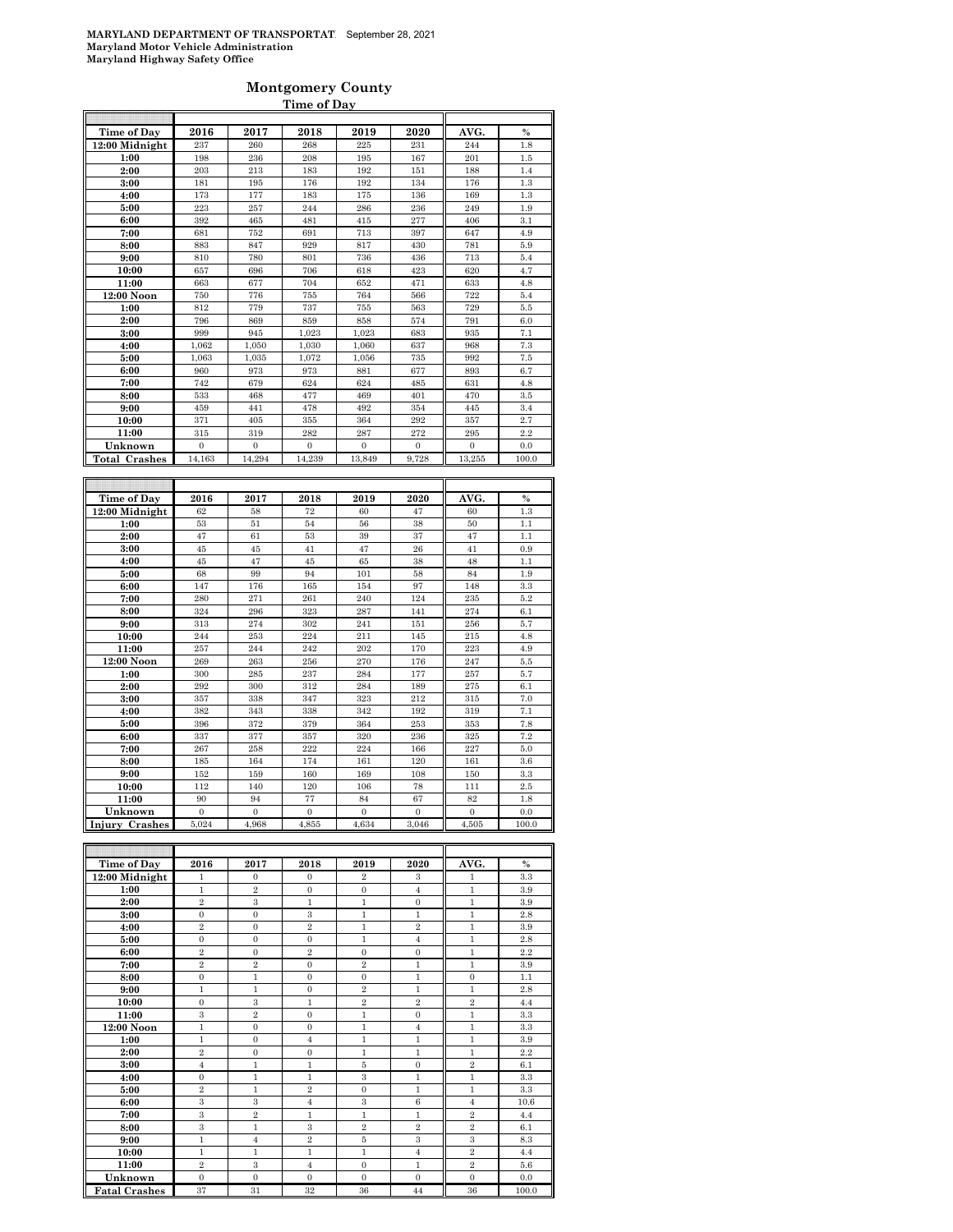### **Montgomery County Time of Day**

| Time of Day               | 2016                  | 2017                  | 2018                  | 2019                      | 2020                      | AVG.                  | $\%$          |
|---------------------------|-----------------------|-----------------------|-----------------------|---------------------------|---------------------------|-----------------------|---------------|
| 12:00 Midnight            | 237                   | 260                   | 268                   | 225                       | 231                       | 244                   | 1.8           |
| 1:00                      | 198                   | 236                   | 208                   | 195                       | 167                       | 201                   | 1.5           |
| 2:00                      | 203                   | 213                   | 183                   | 192                       | 151                       | 188                   | 1.4           |
| 3:00                      | 181                   | 195                   | 176                   | 192                       | 134                       | 176                   | 1.3           |
| 4:00                      | 173                   | 177                   | 183                   | 175                       | 136                       | 169                   | 1.3           |
| 5:00                      | 223                   | 257                   | 244                   | 286                       | 236                       | 249                   | 1.9           |
| 6:00                      | 392                   | 465                   | 481                   | 415                       | 277                       | 406                   | 3.1           |
| 7:00                      | 681                   | 752                   | 691                   | 713                       | 397                       | 647                   | 4.9           |
| 8:00                      | 883                   | 847                   | 929                   | 817                       | 430                       | 781                   | 5.9           |
| 9:00                      | 810                   | 780                   | 801                   | 736                       | 436                       | 713                   | 5.4           |
| 10:00                     | 657                   | 696                   | 706                   | 618                       | 423                       | 620                   | 4.7           |
| 11:00                     | 663                   | 677                   | 704                   | 652                       | 471                       | 633                   | 4.8           |
| 12:00 Noon                | 750                   | 776                   | 755                   | 764                       | 566                       | 722                   | 5.4           |
| 1:00                      | 812                   | 779                   | 737                   | 755                       | 563                       | 729                   | 5.5           |
| 2:00                      | 796                   | 869                   | 859                   | 858                       | 574                       | 791                   | 6.0           |
| 3:00                      | 999                   | 945                   | 1.023                 | 1.023                     | 683                       | 935                   | 7.1           |
| 4:00                      | 1,062                 | 1.050                 | 1,030                 | 1.060                     | 637                       | 968                   | 7.3           |
| 5:00                      | 1,063                 | 1,035                 | 1,072                 | 1,056                     | 735                       | 992                   | 7.5           |
| 6:00                      | 960                   | 973                   | 973                   | 881                       | 677                       | 893                   | 6.7           |
| 7:00                      | 742                   | 679                   | 624                   | 624                       | 485                       | 631                   | 4.8           |
| 8:00                      | 533                   | 468                   | 477                   | 469                       | 401                       | 470                   | 3.5           |
| 9:00                      | 459                   | 441                   | 478                   | 492                       | 354                       | 445                   | 3.4           |
| 10:00                     | 371                   | 405                   | 355                   | 364                       | 292                       | 357                   | 2.7           |
| 11:00                     | 315                   | 319                   | 282                   | 287                       | 272                       | 295                   | 2.2           |
| Unknown                   | $\boldsymbol{0}$      | $\boldsymbol{0}$      | $\boldsymbol{0}$      | $\boldsymbol{0}$          | $\bf{0}$                  | $\boldsymbol{0}$      | 0.0           |
| <b>Total Crashes</b>      | 14,163                | 14,294                | 14,239                | 13,849                    | 9,728                     | 13,255                | 100.0         |
|                           |                       |                       |                       |                           |                           |                       |               |
| Time of Day               | 2016                  | 2017                  | 2018                  | 2019                      | 2020                      | AVG.                  | $\frac{0}{0}$ |
| 12:00 Midnight            | 62                    | 58                    | 72                    | 60                        | 47                        | 60                    | 1.3           |
| 1:00                      | 53                    | 51                    | 54                    | 56                        | 38                        | 50                    | 1.1           |
| 2:00                      | 47                    | 61                    | 53                    | 39                        | 37                        | 47                    | 1.1           |
| 3:00                      | 45                    | 45                    | 41                    | 47                        | 26                        | 41                    | 0.9           |
| 4:00                      | 45                    | 47                    | 45                    | 65                        | 38                        | 48                    | 1.1           |
| 5:00                      | 68                    | 99                    | 94                    | 101                       | 58                        | 84                    | 1.9           |
| 6:00                      | 147                   | 176                   | 165                   | 154                       | 97                        | 148                   | 3.3           |
| 7:00                      | 280                   | 271                   | 261                   | 240                       | 124                       | 235                   | 5.2           |
| 8:00                      | 324                   | 296                   | 323                   | 287                       | 141                       | 274                   | 6.1           |
| 9:00                      | 313                   | 274                   | 302                   | 241                       | 151                       | 256                   | 5.7           |
| 10:00                     | 244                   | 253                   | 224                   | 211                       | 145                       | 215                   | 4.8           |
| 11:00                     | 257                   | 244                   | 242                   | 202                       | 170                       | 223                   | 4.9           |
| 12:00 Noon                | 269                   | 263                   | 256                   | 270                       | 176                       | 247                   | 5.5           |
| 1:00                      | 300                   | 285                   | 237                   | 284                       | 177                       | 257                   | 5.7           |
| 2:00                      | 292                   | 300                   | 312                   | 284                       | 189                       | 275                   | 6.1           |
| 3:00                      | 357                   | 338                   | 347                   | 323                       | 212                       | 315                   | 7.0           |
| 4:00                      | 382                   |                       | 338                   | 342                       | 192                       | 319                   | 7.1           |
|                           |                       | 343                   |                       |                           |                           |                       |               |
| 5:00                      | 396                   | 372                   | 379                   | 364                       | 253                       | 353                   | 7.8           |
| 6:00                      | 337                   | 377                   | 357                   | 320                       | 236                       | 325                   | 7.2           |
| 7:00                      | 267                   | 258                   | 222                   | 224                       | 166                       | 227                   | 5.0           |
| 8:00                      | 185                   | 164                   | 174                   | 161                       | 120                       | 161                   | 3.6           |
| 9:00                      | 152                   | 159                   | 160                   | 169                       | 108                       | 150                   | 3.3           |
| 10:00                     | 112                   | 140                   | 120                   | 106                       | 78                        | 111                   | 2.5           |
| 11:00                     | 90                    | 94                    | 77                    | 84                        | 67                        | 82                    | 1.8           |
| Unknown<br>Injury Crashes | $\mathbf{0}$<br>5,024 | $\mathbf{0}$<br>4,968 | $\mathbf{0}$<br>4,855 | $\boldsymbol{0}$<br>4,634 | $\boldsymbol{0}$<br>3,046 | $\mathbf{0}$<br>4,505 | 0.0<br>100.0  |

| <b>Time of Day</b>   | 2016             | 2017           | 2018           | 2019           | 2020             | AVG.             | $\%$  |
|----------------------|------------------|----------------|----------------|----------------|------------------|------------------|-------|
| 12:00 Midnight       | 1                | $\mathbf{0}$   | $\mathbf{0}$   | $\overline{2}$ | 3                | 1                | 3.3   |
| 1:00                 | 1                | $\overline{2}$ | $\mathbf{0}$   | $\Omega$       | $\overline{4}$   | 1                | 3.9   |
| 2:00                 | $\overline{2}$   | 3              | 1              | $\mathbf{1}$   | $\mathbf{0}$     | $\mathbf{1}$     | 3.9   |
| 3:00                 | $\mathbf{0}$     | $\mathbf{0}$   | 3              | 1              | 1                | 1                | 2.8   |
| 4:00                 | $\overline{2}$   | $\mathbf{0}$   | $\overline{2}$ | 1              | $\overline{2}$   | $\mathbf{1}$     | 3.9   |
| 5:00                 | $\mathbf{0}$     | $\mathbf{0}$   | $\mathbf{0}$   | $\mathbf{1}$   | $\overline{4}$   | $\mathbf{1}$     | 2.8   |
| 6:00                 | $\overline{2}$   | $\mathbf{0}$   | $\overline{2}$ | $\overline{0}$ | $\mathbf{0}$     | $\mathbf{1}$     | 2.2   |
| 7:00                 | $\overline{2}$   | $\overline{2}$ | $\mathbf{0}$   | $\overline{2}$ | $\mathbf{1}$     | $\mathbf{1}$     | 3.9   |
| 8:00                 | $\mathbf{0}$     | $\mathbf{1}$   | $\mathbf{0}$   | $\mathbf{0}$   | $\mathbf{1}$     | $\mathbf{0}$     | 1.1   |
| 9:00                 | $\mathbf{1}$     | $\mathbf{1}$   | $\mathbf{0}$   | $\overline{2}$ | $\mathbf{1}$     | $\mathbf{1}$     | 2.8   |
| 10:00                | $\mathbf{0}$     | 3              | 1              | $\overline{2}$ | $\overline{2}$   | $\overline{2}$   | 4.4   |
| 11:00                | 3                | $\overline{2}$ | $\mathbf{0}$   | 1              | $\mathbf{0}$     | 1                | 3.3   |
| 12:00 Noon           | $\mathbf{1}$     | $\theta$       | $\mathbf{0}$   | $\mathbf{1}$   | $\overline{4}$   | $\mathbf{1}$     | 3.3   |
| 1:00                 | $\mathbf{1}$     | $\mathbf{0}$   | $\overline{4}$ | $\mathbf{1}$   | $\mathbf{1}$     | $\mathbf{1}$     | 3.9   |
| 2:00                 | $\boldsymbol{2}$ | $\mathbf{0}$   | $\mathbf{0}$   | 1              | 1                | 1                | 2.2   |
| 3:00                 | $\overline{4}$   | $\mathbf{1}$   | $\mathbf{1}$   | 5              | $\Omega$         | $\overline{2}$   | 6.1   |
| 4:00                 | $\mathbf{0}$     | $\mathbf{1}$   | $\mathbf{1}$   | 3              | $\mathbf{1}$     | $\mathbf{1}$     | 3.3   |
| 5:00                 | $\overline{2}$   | 1              | $\overline{2}$ | $\overline{0}$ | 1                | 1                | 3.3   |
| 6:00                 | 3                | 3              | $\overline{4}$ | 3              | 6                | $\overline{4}$   | 10.6  |
| 7:00                 | 3                | $\overline{2}$ | $\mathbf{1}$   | 1              | $\mathbf{1}$     | $\overline{2}$   | 4.4   |
| 8:00                 | 3                | $\mathbf{1}$   | 3              | $\overline{2}$ | $\boldsymbol{2}$ | $\boldsymbol{2}$ | 6.1   |
| 9:00                 | $\mathbf{1}$     | $\overline{4}$ | $\overline{2}$ | 5              | 3                | 3                | 8.3   |
| 10:00                | 1                | 1              | 1              | 1              | $\overline{4}$   | $\overline{2}$   | 4.4   |
| 11:00                | $\overline{2}$   | 3              | $\overline{4}$ | $\mathbf{0}$   | $\mathbf{1}$     | $\boldsymbol{2}$ | 5.6   |
| Unknown              | $\mathbf{0}$     | $\mathbf{0}$   | $\mathbf{0}$   | $\mathbf{0}$   | $\Omega$         | $\mathbf{0}$     | 0.0   |
| <b>Fatal Crashes</b> | 37               | 31             | 32             | 36             | 44               | 36               | 100.0 |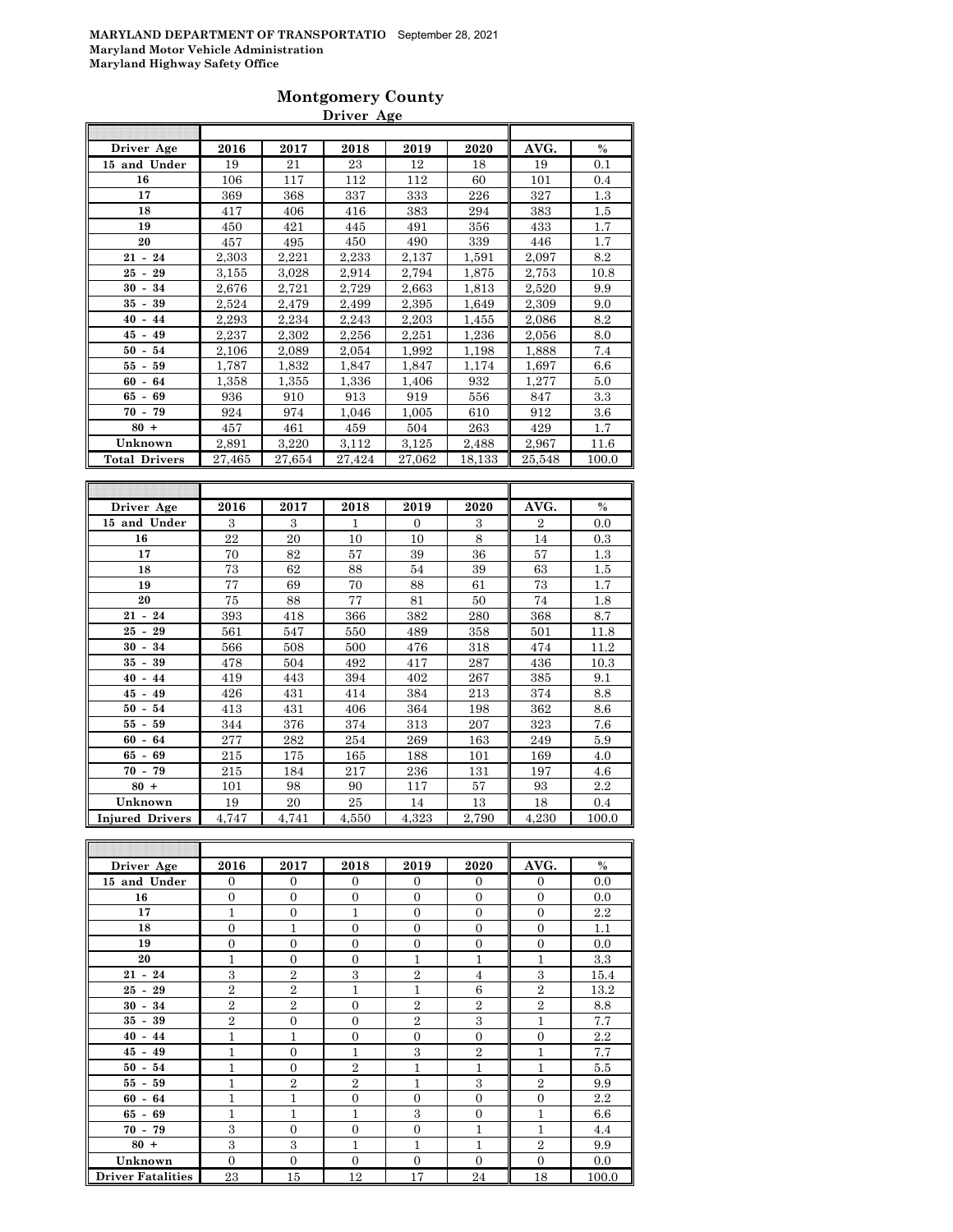### **Montgomery County Driver Age**

| Driver Age           | 2016   | 2017   | 2018   | 2019   | 2020   | AVG.   | $\frac{0}{0}$ |
|----------------------|--------|--------|--------|--------|--------|--------|---------------|
| 15 and Under         | 19     | 21     | 23     | 12     | 18     | 19     | 0.1           |
| 16                   | 106    | 117    | 112    | 112    | 60     | 101    | 0.4           |
| 17                   | 369    | 368    | 337    | 333    | 226    | 327    | 1.3           |
| 18                   | 417    | 406    | 416    | 383    | 294    | 383    | 1.5           |
| 19                   | 450    | 421    | 445    | 491    | 356    | 433    | 1.7           |
| 20                   | 457    | 495    | 450    | 490    | 339    | 446    | 1.7           |
| $21 - 24$            | 2,303  | 2,221  | 2,233  | 2,137  | 1,591  | 2,097  | 8.2           |
| 29<br>$25 -$         | 3,155  | 3,028  | 2,914  | 2,794  | 1,875  | 2,753  | 10.8          |
| $30 -$<br>34         | 2,676  | 2,721  | 2,729  | 2,663  | 1,813  | 2,520  | 9.9           |
| 35 -<br>39           | 2,524  | 2,479  | 2,499  | 2,395  | 1,649  | 2,309  | 9.0           |
| $40 - 44$            | 2,293  | 2,234  | 2,243  | 2,203  | 1,455  | 2,086  | 8.2           |
| $45 - 49$            | 2,237  | 2,302  | 2,256  | 2,251  | 1,236  | 2,056  | 8.0           |
| $50 - 54$            | 2,106  | 2,089  | 2,054  | 1,992  | 1,198  | 1,888  | 7.4           |
| 59<br>55 -           | 1,787  | 1,832  | 1,847  | 1,847  | 1,174  | 1,697  | 6.6           |
| $60 - 64$            | 1,358  | 1,355  | 1,336  | 1,406  | 932    | 1,277  | 5.0           |
| 69<br>65 -           | 936    | 910    | 913    | 919    | 556    | 847    | 3.3           |
| $70 - 79$            | 924    | 974    | 1,046  | 1,005  | 610    | 912    | 3.6           |
| $80 +$               | 457    | 461    | 459    | 504    | 263    | 429    | 1.7           |
| Unknown              | 2,891  | 3,220  | 3,112  | 3,125  | 2,488  | 2,967  | 11.6          |
| <b>Total Drivers</b> | 27,465 | 27,654 | 27,424 | 27,062 | 18,133 | 25,548 | 100.0         |
|                      |        |        |        |        |        | ۳      |               |

| Driver Age             | 2016  | 2017  | 2018  | 2019         | 2020  | AVG.           | $\%$  |
|------------------------|-------|-------|-------|--------------|-------|----------------|-------|
| 15 and Under           | 3     | 3     | 1     | $\mathbf{0}$ | 3     | $\overline{2}$ | 0.0   |
| 16                     | 22    | 20    | 10    | 10           | 8     | 14             | 0.3   |
| 17                     | 70    | 82    | 57    | 39           | 36    | 57             | 1.3   |
| 18                     | 73    | 62    | 88    | 54           | 39    | 63             | 1.5   |
| 19                     | 77    | 69    | 70    | 88           | 61    | 73             | 1.7   |
| 20                     | 75    | 88    | 77    | 81           | 50    | 74             | 1.8   |
| $21 - 24$              | 393   | 418   | 366   | 382          | 280   | 368            | 8.7   |
| $25 - 29$              | 561   | 547   | 550   | 489          | 358   | 501            | 11.8  |
| 34<br>$30 -$           | 566   | 508   | 500   | 476          | 318   | 474            | 11.2  |
| $35 -$<br>39           | 478   | 504   | 492   | 417          | 287   | 436            | 10.3  |
| $40 -$<br>44           | 419   | 443   | 394   | 402          | 267   | 385            | 9.1   |
| $45 -$<br>49           | 426   | 431   | 414   | 384          | 213   | 374            | 8.8   |
| 54<br>$50 -$           | 413   | 431   | 406   | 364          | 198   | 362            | 8.6   |
| 59<br>55 -             | 344   | 376   | 374   | 313          | 207   | 323            | 7.6   |
| $60 - 64$              | 277   | 282   | 254   | 269          | 163   | 249            | 5.9   |
| $65 - 69$              | 215   | 175   | 165   | 188          | 101   | 169            | 4.0   |
| $70 - 79$              | 215   | 184   | 217   | 236          | 131   | 197            | 4.6   |
| $80 +$                 | 101   | 98    | 90    | 117          | 57    | 93             | 2.2   |
| Unknown                | 19    | 20    | 25    | 14           | 13    | 18             | 0.4   |
| <b>Injured Drivers</b> | 4,747 | 4,741 | 4,550 | 4,323        | 2,790 | 4,230          | 100.0 |

| Driver Age               | 2016           | 2017           | 2018           | 2019           | 2020           | AVG.           | $\%$  |
|--------------------------|----------------|----------------|----------------|----------------|----------------|----------------|-------|
| 15 and Under             | $\Omega$       | $\Omega$       | $\Omega$       | $\Omega$       | $\Omega$       | $\overline{0}$ | 0.0   |
| 16                       | $\Omega$       | $\overline{0}$ | $\overline{0}$ | $\theta$       | $\overline{0}$ | $\overline{0}$ | 0.0   |
| 17                       | 1              | $\overline{0}$ | $\mathbf{1}$   | $\overline{0}$ | $\overline{0}$ | $\overline{0}$ | 2.2   |
| 18                       | $\Omega$       | $\mathbf{1}$   | $\overline{0}$ | $\overline{0}$ | $\overline{0}$ | $\overline{0}$ | 1.1   |
| 19                       | $\overline{0}$ | $\overline{0}$ | $\overline{0}$ | $\theta$       | $\overline{0}$ | $\overline{0}$ | 0.0   |
| 20                       | 1              | $\overline{0}$ | $\overline{0}$ | 1              | 1              | 1              | 3.3   |
| $21 - 24$                | 3              | $\overline{2}$ | 3              | $\overline{2}$ | $\overline{4}$ | 3              | 15.4  |
| $25 - 29$                | $\overline{2}$ | $\overline{2}$ | $\mathbf{1}$   | 1              | 6              | $\overline{2}$ | 13.2  |
| $30 - 34$                | $\overline{2}$ | $\overline{2}$ | $\overline{0}$ | $\overline{2}$ | $\overline{2}$ | $\overline{2}$ | 8.8   |
| $35 - 39$                | $\overline{2}$ | $\overline{0}$ | $\overline{0}$ | $\overline{2}$ | 3              | $\mathbf{1}$   | 7.7   |
| $40 - 44$                | 1              | 1              | $\overline{0}$ | $\overline{0}$ | $\overline{0}$ | $\overline{0}$ | 2.2   |
| $45 - 49$                | $\mathbf{1}$   | $\overline{0}$ | $\mathbf{1}$   | 3              | $\overline{2}$ | 1              | 7.7   |
| $50 - 54$                | 1              | $\overline{0}$ | $\overline{2}$ | 1              | 1              | 1              | 5.5   |
| $55 - 59$                | 1              | $\overline{2}$ | $\overline{2}$ | 1              | 3              | $\overline{2}$ | 9.9   |
| $60 - 64$                | 1              | $\overline{1}$ | $\overline{0}$ | $\theta$       | $\Omega$       | $\overline{0}$ | 2.2   |
| $65 - 69$                | 1              | $\mathbf{1}$   | $\mathbf{1}$   | 3              | $\overline{0}$ | $\overline{1}$ | 6.6   |
| $70 - 79$                | 3              | $\overline{0}$ | $\overline{0}$ | $\overline{0}$ | $\mathbf{1}$   | $\mathbf{1}$   | 4.4   |
| $80 +$                   | 3              | 3              | $\mathbf{1}$   | 1              | $\mathbf{1}$   | $\overline{2}$ | 9.9   |
| Unknown                  | $\Omega$       | $\overline{0}$ | $\overline{0}$ | $\overline{0}$ | $\overline{0}$ | $\overline{0}$ | 0.0   |
| <b>Driver Fatalities</b> | 23             | 15             | 12             | 17             | 24             | 18             | 100.0 |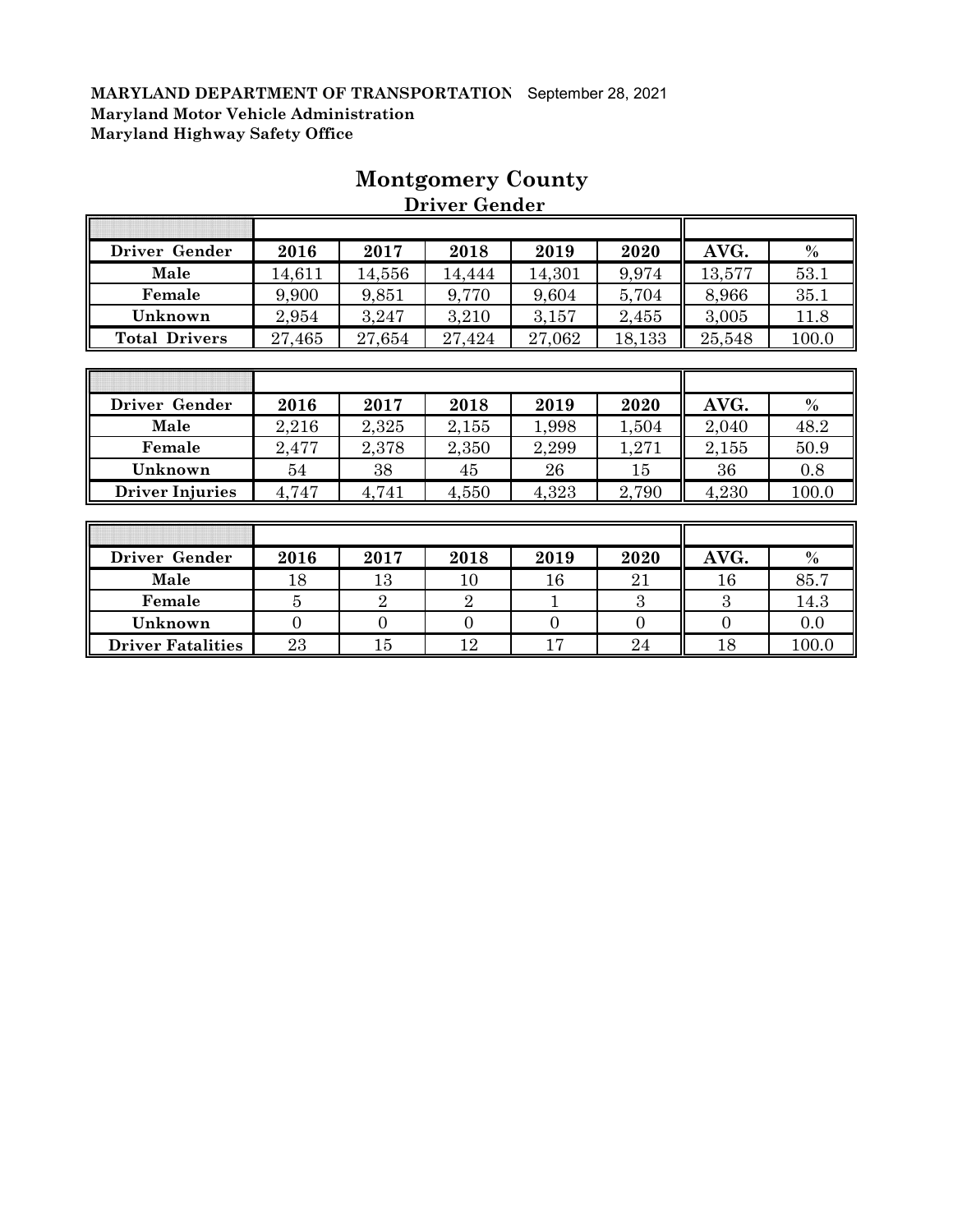| Driver Gender        | 2016   | 2017   | 2018   | 2019   | 2020   | AVG.   | $\%$  |
|----------------------|--------|--------|--------|--------|--------|--------|-------|
| Male                 | 14,611 | 14,556 | 14,444 | 14,301 | 9,974  | 13,577 | 53.1  |
| Female               | 9,900  | 9,851  | 9,770  | 9,604  | 5,704  | 8,966  | 35.1  |
| Unknown              | 2,954  | 3,247  | 3,210  | 3,157  | 2,455  | 3,005  | 11.8  |
| <b>Total Drivers</b> | 27,465 | 27,654 | 27,424 | 27,062 | 18,133 | 25,548 | 100.0 |
|                      |        |        |        |        |        |        |       |
|                      |        |        |        |        |        |        |       |
| Driver Gender        | 2016   | 2017   | 2018   | 2019   | 2020   | AVG.   | $\%$  |
| Male                 | 2,216  | 2,325  | 2,155  | 1,998  | 1,504  | 2,040  | 48.2  |
| Female               | 2,477  | 2,378  | 2,350  | 2,299  | 1,271  | 2,155  | 50.9  |

# **Montgomery County**

 **Driver Gender**

| Driver Gender            | 2016   | 2017        | 2018 | 2019 | 2020 | AVG.        | $\%$  |
|--------------------------|--------|-------------|------|------|------|-------------|-------|
| Male                     | $18\,$ | $^{\rm 13}$ | 10   | 16   | 21   | $^{\rm 16}$ | 85.7  |
| Female                   |        |             |      |      | .,   | .,          | 14.3  |
| Unknown                  |        |             |      |      |      |             | 0.0   |
| <b>Driver Fatalities</b> | 23     | 15          | റ    |      | 24   | 18          | 100.0 |

**Unknown** 54 38 45 26 15 36 0.8 **Driver Injuries** 4,747 4,741 4,550 4,323 2,790 4,230 100.0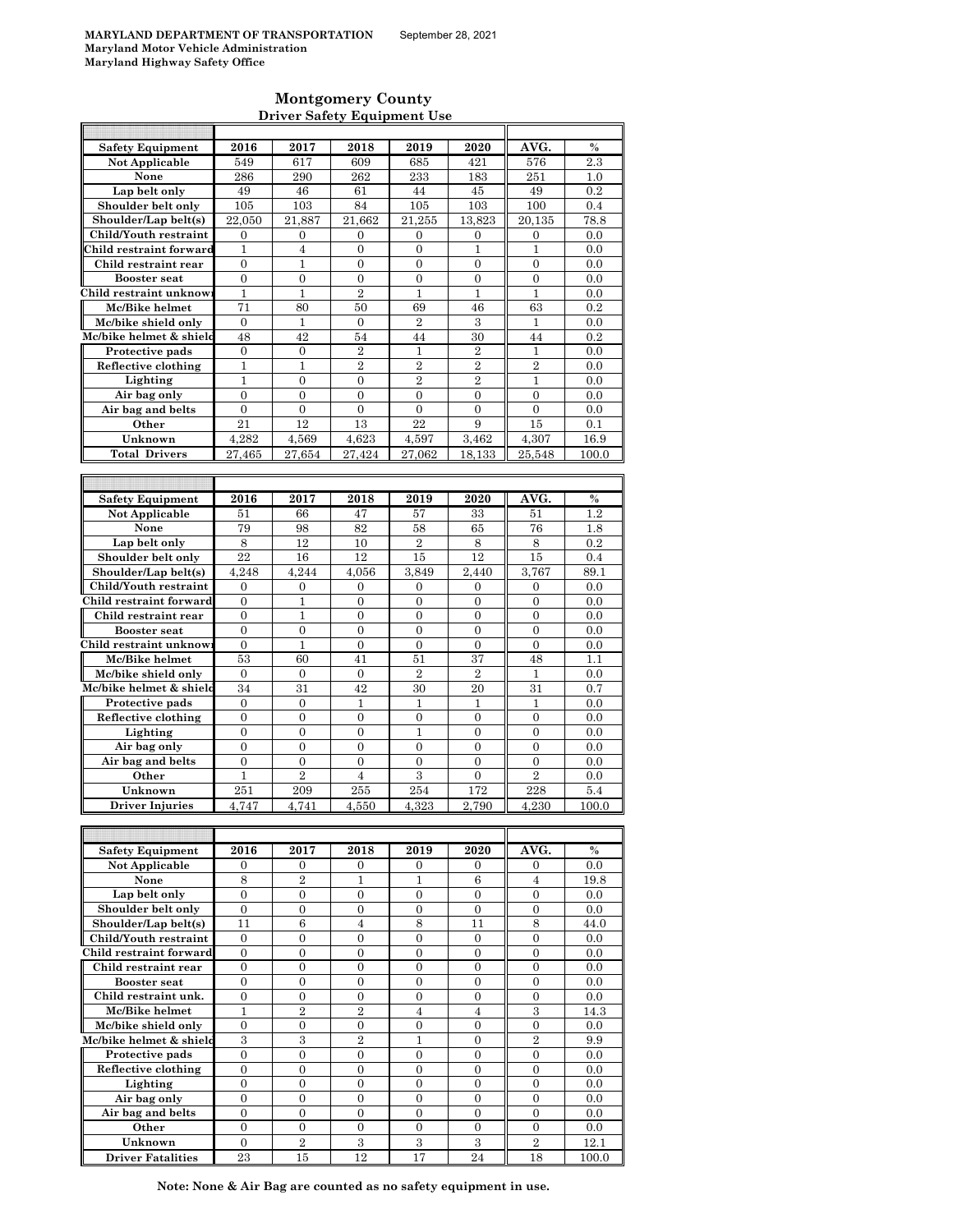### **Montgomery County Driver Safety Equipment Use**

| <b>Safety Equipment</b>                       | 2016                               | 2017                             | 2018                               | 2019                               | 2020                               | AVG.                               | $\frac{0}{0}$ |
|-----------------------------------------------|------------------------------------|----------------------------------|------------------------------------|------------------------------------|------------------------------------|------------------------------------|---------------|
| <b>Not Applicable</b>                         | 549                                | 617                              | 609                                | 685                                | 421                                | 576                                | 2.3           |
| None                                          | 286                                | 290                              | 262                                | 233                                | 183                                | 251                                | 1.0           |
| Lap belt only                                 | 49                                 | 46                               | 61                                 | 44                                 | 45                                 | 49                                 | 0.2           |
| Shoulder belt only                            | 105                                | 103                              | 84                                 | 105                                | 103                                | 100                                | 0.4           |
| Shoulder/Lap belt(s)                          | 22.050                             | 21,887                           | 21.662                             | 21.255                             | 13.823                             | 20.135                             | 78.8          |
| Child/Youth restraint                         | $\boldsymbol{0}$                   | 0                                | 0                                  | 0                                  | 0                                  | 0                                  | 0.0           |
| Child restraint forward                       | 1                                  | $\overline{4}$                   | $\overline{0}$                     | $\overline{0}$                     | $\mathbf{1}$                       | $\mathbf{1}$                       | 0.0           |
| Child restraint rear                          | 0<br>$\overline{0}$                | 1<br>$\mathbf{0}$                | $\mathbf{0}$<br>$\overline{0}$     | $\overline{0}$<br>$\overline{0}$   | 0<br>$\overline{0}$                | $\overline{0}$<br>$\overline{0}$   | 0.0           |
| <b>Booster seat</b><br>Child restraint unknow | 1                                  | 1                                | $\overline{2}$                     | 1                                  | $\mathbf{1}$                       | 1                                  | 0.0<br>0.0    |
| Mc/Bike helmet                                | 71                                 | 80                               | 50                                 | 69                                 | 46                                 | 63                                 | 0.2           |
| Mc/bike shield only                           | $\overline{0}$                     | 1                                | $\mathbf{0}$                       | $\overline{2}$                     | 3                                  | 1                                  | 0.0           |
| Mc/bike helmet & shield                       | 48                                 | 42                               | 54                                 | 44                                 | 30                                 | 44                                 | 0.2           |
| Protective pads                               | $\overline{0}$                     | $\mathbf{0}$                     | $\overline{2}$                     | 1                                  | $\overline{2}$                     | 1                                  | 0.0           |
| Reflective clothing                           | 1                                  | 1                                | $\overline{2}$                     | $\overline{2}$                     | $\overline{2}$                     | $\overline{2}$                     | 0.0           |
| Lighting                                      | $\mathbf{1}$                       | $\overline{0}$                   | $\mathbf{0}$                       | $\overline{2}$                     | $\overline{2}$                     | $\mathbf{1}$                       | 0.0           |
| Air bag only                                  | $\overline{0}$                     | $\overline{0}$                   | $\overline{0}$                     | $\overline{0}$                     | $\overline{0}$                     | $\overline{0}$                     | 0.0           |
| Air bag and belts                             | $\overline{0}$                     | $\mathbf{0}$                     | $\overline{0}$                     | $\Omega$                           | $\Omega$                           | $\Omega$                           | 0.0           |
| Other                                         | 21                                 | 12                               | 13                                 | 22                                 | 9                                  | 15                                 | 0.1           |
| Unknown                                       | 4,282                              | 4,569                            | 4,623                              | 4,597                              | 3,462                              | 4,307                              | 16.9          |
| <b>Total Drivers</b>                          | 27,465                             | 27,654                           | 27,424                             | 27,062                             | 18,133                             | 25.548                             | 100.0         |
|                                               |                                    |                                  |                                    |                                    |                                    |                                    |               |
|                                               |                                    |                                  |                                    |                                    |                                    |                                    |               |
| <b>Safety Equipment</b>                       | 2016                               | 2017                             | 2018                               | 2019                               | 2020                               | AVG.                               | $\%$          |
| Not Applicable<br>None                        | 51                                 | 66                               | 47<br>82                           | 57                                 | 33<br>65                           | 51                                 | $1.2\,$       |
| Lap belt only                                 | 79                                 | 98<br>12                         |                                    | 58<br>$\overline{2}$               |                                    | 76                                 | 1.8<br>0.2    |
| Shoulder belt only                            | 8<br>22                            | 16                               | 10<br>12                           | 15                                 | 8<br>12                            | 8<br>15                            | 0.4           |
| Shoulder/Lap belt(s)                          | 4,248                              | 4,244                            | 4,056                              | 3,849                              | 2.440                              | 3,767                              | 89.1          |
| Child/Youth restraint                         | $\mathbf{0}$                       | $\boldsymbol{0}$                 | $\overline{0}$                     | $\overline{0}$                     | $\overline{0}$                     | $\overline{0}$                     | 0.0           |
| Child restraint forward                       | 0                                  | 1                                | $\boldsymbol{0}$                   | 0                                  | 0                                  | $\boldsymbol{0}$                   | 0.0           |
| Child restraint rear                          | $\overline{0}$                     | 1                                | $\overline{0}$                     | $\overline{0}$                     | 0                                  | $\overline{0}$                     | 0.0           |
| <b>Booster</b> seat                           | $\mathbf{0}$                       | $\mathbf{0}$                     | $\overline{0}$                     | $\overline{0}$                     | $\overline{0}$                     | $\overline{0}$                     | 0.0           |
| Child restraint unknow                        | $\boldsymbol{0}$                   | 1                                | 0                                  | $\boldsymbol{0}$                   | $\boldsymbol{0}$                   | $\boldsymbol{0}$                   | 0.0           |
| Mc/Bike helmet                                | 53                                 | 60                               | 41                                 | 51                                 | 37                                 | 48                                 | 1.1           |
| Mc/bike shield only                           | $\mathbf{0}$                       | $\mathbf{0}$                     | 0                                  | $\overline{2}$                     | $\overline{2}$                     | 1                                  | 0.0           |
| Mc/bike helmet & shield                       | 34                                 | 31                               | 42                                 | 30                                 | 20                                 | 31                                 | 0.7           |
| Protective pads                               | $\mathbf{0}$                       | $\mathbf{0}$                     | $\mathbf{1}$                       | $\mathbf{1}$                       | 1                                  | 1                                  | 0.0           |
| Reflective clothing                           | $\overline{0}$                     | $\mathbf{0}$                     | $\overline{0}$                     | $\overline{0}$                     | $\overline{0}$                     | $\overline{0}$                     | 0.0           |
| Lighting                                      | $\mathbf{0}$                       | $\boldsymbol{0}$                 | $\boldsymbol{0}$                   | $\mathbf{1}$                       | $\boldsymbol{0}$                   | $\boldsymbol{0}$                   | 0.0           |
| Air bag only<br>Air bag and belts             | $\boldsymbol{0}$<br>$\overline{0}$ | $\boldsymbol{0}$<br>$\mathbf{0}$ | 0<br>$\overline{0}$                | $\boldsymbol{0}$<br>$\overline{0}$ | 0<br>$\overline{0}$                | $\mathbf{0}$<br>$\overline{0}$     | 0.0<br>0.0    |
| Other                                         | 1                                  | $\overline{2}$                   | $\overline{4}$                     | 3                                  | 0                                  | $\overline{2}$                     | 0.0           |
| Unknown                                       | 251                                | 209                              | 255                                | 254                                | 172                                | 228                                | 5.4           |
| <b>Driver Injuries</b>                        | 4.747                              | 4,741                            | 4,550                              | 4,323                              | 2,790                              | 4,230                              | 100.0         |
|                                               |                                    |                                  |                                    |                                    |                                    |                                    |               |
|                                               |                                    |                                  |                                    |                                    |                                    |                                    |               |
| <b>Safety Equipment</b>                       | 2016                               | 2017                             | 2018                               | 2019                               | 2020                               | AVG.                               | $\%$          |
| Not Applicable                                | 0                                  | 0                                | 0                                  | 0                                  | 0                                  | 0                                  | 0.0           |
| None                                          | 8                                  | $\boldsymbol{2}$                 | 1                                  | 1                                  | 6                                  | 4                                  | 19.8          |
| Lap belt only                                 | $\overline{0}$                     | $\boldsymbol{0}$                 | $\mathbf{0}$                       | $\overline{0}$                     | $\overline{0}$                     | $\overline{0}$                     | 0.0           |
| Shoulder belt only                            | $\boldsymbol{0}$                   | $\boldsymbol{0}$                 | $\boldsymbol{0}$                   | 0                                  | $\boldsymbol{0}$                   | $\boldsymbol{0}$                   | 0.0           |
| Shoulder/Lap belt(s)                          | 11                                 | 6                                | $\overline{4}$                     | 8                                  | 11                                 | 8                                  | 44.0          |
| Child/Youth restraint                         | $\mathbf{0}$                       | $\boldsymbol{0}$                 | $\boldsymbol{0}$                   | $\boldsymbol{0}$                   | $\boldsymbol{0}$                   | $\boldsymbol{0}$                   | 0.0           |
| Child restraint forward                       | $\boldsymbol{0}$                   | $\boldsymbol{0}$                 | $\boldsymbol{0}$                   | $\boldsymbol{0}$                   | $\boldsymbol{0}$                   | $\boldsymbol{0}$                   | 0.0           |
| Child restraint rear                          | $\boldsymbol{0}$                   | $\boldsymbol{0}$                 | 0                                  | 0                                  | $\boldsymbol{0}$                   | $\boldsymbol{0}$                   | 0.0           |
| <b>Booster seat</b><br>Child restraint unk.   | 0<br>$\overline{0}$                | $\boldsymbol{0}$<br>$\mathbf{0}$ | $\boldsymbol{0}$<br>$\overline{0}$ | $\boldsymbol{0}$<br>$\mathbf{0}$   | $\boldsymbol{0}$<br>$\overline{0}$ | $\boldsymbol{0}$<br>$\overline{0}$ | 0.0<br>0.0    |
| Mc/Bike helmet                                | $\mathbf{1}$                       | $\overline{2}$                   | $\,2$                              | $\overline{4}$                     | $\overline{4}$                     | $\,3$                              | 14.3          |
| Mc/bike shield only                           | 0                                  | $\boldsymbol{0}$                 | $\boldsymbol{0}$                   | $\overline{0}$                     | 0                                  | $\overline{0}$                     | 0.0           |
| Mc/bike helmet & shield                       | $\overline{3}$                     | 3                                | $\overline{2}$                     | $\mathbf{1}$                       | $\boldsymbol{0}$                   | $\overline{2}$                     | 9.9           |
| Protective pads                               | $\boldsymbol{0}$                   | $\boldsymbol{0}$                 | $\boldsymbol{0}$                   | $\boldsymbol{0}$                   | 0                                  | $\boldsymbol{0}$                   | 0.0           |
| Reflective clothing                           | $\overline{0}$                     | $\mathbf{0}$                     | $\overline{0}$                     | $\overline{0}$                     | $\overline{0}$                     | $\overline{0}$                     | 0.0           |
| Lighting                                      | $\boldsymbol{0}$                   | 0                                | 0                                  | 0                                  | 0                                  | 0                                  | 0.0           |
| Air bag only                                  | $\overline{0}$                     | $\mathbf{0}$                     | $\boldsymbol{0}$                   | $\boldsymbol{0}$                   | $\boldsymbol{0}$                   | $\boldsymbol{0}$                   | 0.0           |
| Air bag and belts                             | $\boldsymbol{0}$                   | 0                                | 0                                  | 0                                  | $\boldsymbol{0}$                   | 0                                  | 0.0           |
| Other                                         | $\overline{0}$                     | $\mathbf{0}$                     | $\overline{0}$                     | $\overline{0}$                     | $\overline{0}$                     | $\overline{0}$                     | 0.0           |
| Unknown                                       | $\overline{0}$                     | $\sqrt{2}$                       | $\boldsymbol{3}$                   | $\boldsymbol{3}$                   | 3                                  | $\overline{2}$                     | 12.1          |
| <b>Driver Fatalities</b>                      | 23                                 | 15                               | 12                                 | 17                                 | 24                                 | 18                                 | 100.0         |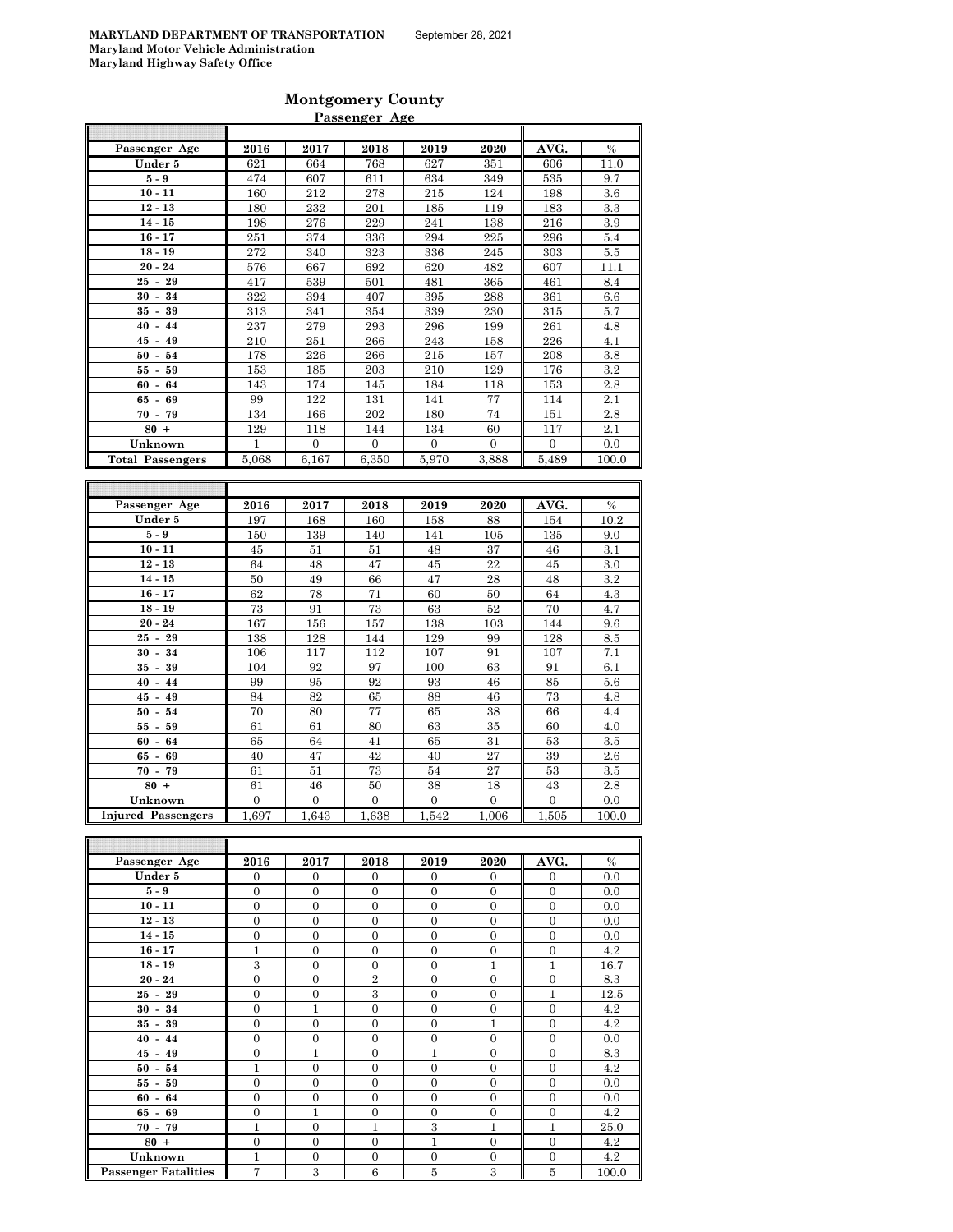| <b>Montgomery County</b> |  |
|--------------------------|--|
| Passenger Age            |  |

| Passenger Age                  | 2016                     | 2017                       | 2018                     | 2019                     | 2020                     | AVG.                     | $\%$                 |
|--------------------------------|--------------------------|----------------------------|--------------------------|--------------------------|--------------------------|--------------------------|----------------------|
| Under 5                        | 621                      | 664                        | 768                      | 627                      | 351                      | 606                      | 11.0                 |
| $5-9$                          | 474                      | 607                        | 611                      | 634                      | 349                      | 535                      | 9.7                  |
| $10 - 11$                      | 160                      | 212                        | 278                      | 215                      | 124                      | 198                      | 3.6                  |
| $12 - 13$                      | 180                      | 232                        | 201                      | 185                      | 119                      | 183                      | 3.3                  |
| $14 - 15$                      | 198                      | 276                        | 229                      | 241                      | 138                      | 216                      | 3.9                  |
| $16 - 17$                      | 251                      | 374                        | 336                      | 294                      | 225                      | 296                      | 5.4                  |
| $18 - 19$                      | 272                      | 340                        | 323                      | 336                      | 245                      | 303                      | 5.5                  |
| $20 - 24$                      | 576                      | 667                        | 692                      | 620                      | 482                      | 607                      | 11.1                 |
| ${\bf 29}$<br>$25 -$           | 417                      | 539                        | 501                      | 481                      | 365                      | 461                      | 8.4                  |
| $30 - 34$                      | 322                      | 394                        | 407                      | 395                      | 288                      | 361                      | 6.6                  |
| 39<br>$35 -$                   | 313                      | 341                        | 354                      | 339                      | 230                      | 315                      | 5.7                  |
| $40 - 44$                      | 237                      | 279                        | 293                      | 296                      | 199                      | 261                      | 4.8                  |
| $45 -$<br>49                   | 210                      | 251                        | 266                      | 243                      | 158                      | 226                      | 4.1                  |
| $50 -$<br>54                   | 178                      | 226                        | 266                      | 215                      | 157                      | 208                      | 3.8                  |
| $55 - 59$                      | 153                      | 185                        | 203                      | 210                      | 129                      | 176                      | 3.2                  |
| $60 -$<br>64                   | 143                      | 174                        | 145                      | 184                      | 118                      | 153                      | 2.8                  |
| $65 -$<br>69                   | 99                       | 122                        | 131                      | 141                      | 77                       | 114                      | 2.1                  |
| $70 -$<br>79                   | 134                      | 166                        | 202                      | 180                      | 74                       | 151                      | 2.8                  |
| $80 +$                         | 129                      | 118                        | 144                      | 134                      | 60                       | 117                      | 2.1                  |
| Unknown                        | 1                        | $\mathbf{0}$               | $\overline{0}$           | $\mathbf{0}$             | $\overline{0}$           | $\mathbf{0}$             | 0.0                  |
| <b>Total Passengers</b>        | 5.068                    | 6.167                      | 6.350                    | 5.970                    | 3.888                    | 5.489                    | 100.0                |
|                                |                          |                            |                          |                          |                          |                          |                      |
|                                |                          |                            |                          |                          |                          |                          |                      |
| Passenger Age                  | 2016                     | 2017                       | 2018                     | 2019                     | 2020                     | AVG.                     | $\frac{0}{0}$        |
| Under 5                        | 197                      | 168                        | 160                      | 158                      | 88                       | 154                      | 10.2                 |
| $5-9$                          | 150                      | 139                        | 140                      | 141                      | 105                      | 135                      | 9.0                  |
| $10 - 11$                      | 45                       | 51                         | 51                       | 48                       | 37                       | 46                       | 3.1                  |
| $12 - 13$                      | 64                       | 48                         | 47                       | 45                       | 22                       | 45                       | 3.0                  |
| $14 - 15$                      | 50                       | 49                         | 66                       | 47                       | 28                       | 48                       | 3.2                  |
| $16 - 17$                      | 62                       | 78                         | 71                       | 60                       | 50                       | 64                       | 4.3                  |
| $18 - 19$                      | 73                       | 91                         | 73                       | 63                       | 52                       | 70                       | 4.7                  |
| $20 - 24$                      | 167                      | 156                        | 157                      | 138                      | 103                      | 144                      | 9.6                  |
| $25 -$<br>29                   | 138                      | 128                        | 144                      | 129                      | 99                       | 128                      | 8.5                  |
| $30 -$<br>34                   | 106                      | 117                        | 112                      | 107                      | 91                       | 107                      | 7.1                  |
| $35 -$<br>39                   | 104                      | 92                         | 97                       | 100                      | 63                       | 91                       | 6.1                  |
| $40 -$<br>44                   | 99                       | 95                         | 92                       | 93                       | 46                       | 85                       | 5.6                  |
| $45 -$<br>49                   | 84                       | 82                         | 65                       | 88                       | 46                       | 73                       | 4.8                  |
| $50 -$<br>54                   | 70                       | 80                         | 77                       | 65                       | 38                       | 66                       | 4.4                  |
| 59<br>$55 -$                   | 61                       | 61                         | 80                       | 63                       | 35                       | 60                       | 4.0                  |
| $60 -$<br>64                   | 65<br>40                 | 64<br>47                   | 41<br>42                 | 65                       | 31<br>27                 | 53<br>39                 | 3.5<br>2.6           |
| $65 -$<br>69                   |                          |                            |                          | 40                       |                          |                          |                      |
| $70 -$<br>79<br>$80 +$         | 61                       | 51                         | 73                       | 54                       | 27                       | 53                       | 3.5                  |
|                                | 61                       | 46                         | 50                       | 38                       | 18                       | 43                       | 2.8                  |
| Unknown                        | $\boldsymbol{0}$         | $\boldsymbol{0}$           | $\boldsymbol{0}$         | $\boldsymbol{0}$         | $\overline{0}$           | $\boldsymbol{0}$         | 0.0                  |
| <b>Injured Passengers</b>      | 1,697                    | 1,643                      | 1,638                    | 1,542                    | 1,006                    | 1,505                    | 100.0                |
|                                |                          |                            |                          |                          |                          |                          |                      |
|                                |                          |                            |                          |                          |                          |                          |                      |
| Passenger Age                  | 2016                     | 2017                       | 2018                     | 2019                     | 2020                     | AVG.                     | $\%$                 |
| Under 5<br>$\epsilon$ $\alpha$ | $\mathbf{0}$<br>$\Omega$ | $\overline{0}$<br>$\Omega$ | $\mathbf{0}$<br>$\Omega$ | $\mathbf{0}$<br>$\Omega$ | $\mathbf{0}$<br>$\Omega$ | $\mathbf{0}$<br>$\Omega$ | 0.0<br>$\cap$ $\cap$ |

| Passenger Age               | 2016             | 2017             | 2018             | 2019             | 2020             | AVG.           | $\%$  |
|-----------------------------|------------------|------------------|------------------|------------------|------------------|----------------|-------|
| Under 5                     | $\overline{0}$   | $\overline{0}$   | $\overline{0}$   | $\overline{0}$   | $\overline{0}$   | $\overline{0}$ | 0.0   |
| $5-9$                       | $\mathbf{0}$     | $\boldsymbol{0}$ | $\mathbf{0}$     | $\mathbf{0}$     | $\mathbf{0}$     | $\mathbf{0}$   | 0.0   |
| $10 - 11$                   | $\mathbf{0}$     | $\mathbf{0}$     | $\mathbf{0}$     | $\mathbf{0}$     | $\overline{0}$   | $\mathbf{0}$   | 0.0   |
| $12 - 13$                   | $\mathbf{0}$     | $\mathbf{0}$     | $\mathbf{0}$     | $\mathbf{0}$     | $\overline{0}$   | $\mathbf{0}$   | 0.0   |
| $14 - 15$                   | $\mathbf{0}$     | $\mathbf{0}$     | $\overline{0}$   | $\mathbf{0}$     | $\overline{0}$   | $\mathbf{0}$   | 0.0   |
| $16 - 17$                   | $\mathbf{1}$     | $\mathbf{0}$     | $\overline{0}$   | $\mathbf{0}$     | $\overline{0}$   | $\mathbf{0}$   | 4.2   |
| $18 - 19$                   | 3                | $\mathbf{0}$     | $\mathbf{0}$     | $\mathbf{0}$     | 1                | $\mathbf{1}$   | 16.7  |
| $20 - 24$                   | $\mathbf{0}$     | $\overline{0}$   | $\overline{2}$   | $\mathbf{0}$     | $\overline{0}$   | $\mathbf{0}$   | 8.3   |
| $25 - 29$                   | $\mathbf{0}$     | $\boldsymbol{0}$ | 3                | $\mathbf{0}$     | $\boldsymbol{0}$ | $\mathbf{1}$   | 12.5  |
| $30 - 34$                   | $\mathbf{0}$     | $\mathbf{1}$     | $\mathbf{0}$     | $\mathbf{0}$     | $\overline{0}$   | $\mathbf{0}$   | 4.2   |
| $35 - 39$                   | $\mathbf{0}$     | $\mathbf{0}$     | $\mathbf{0}$     | $\mathbf{0}$     | $\mathbf{1}$     | $\mathbf{0}$   | 4.2   |
| $40 - 44$                   | $\mathbf{0}$     | $\mathbf{0}$     | $\overline{0}$   | $\mathbf{0}$     | $\boldsymbol{0}$ | $\mathbf{0}$   | 0.0   |
| $45 - 49$                   | $\mathbf{0}$     | $\mathbf{1}$     | $\overline{0}$   | $\mathbf{1}$     | $\mathbf{0}$     | $\mathbf{0}$   | 8.3   |
| $50 - 54$                   | 1                | $\mathbf{0}$     | $\boldsymbol{0}$ | $\boldsymbol{0}$ | $\overline{0}$   | $\mathbf{0}$   | 4.2   |
| $55 - 59$                   | $\mathbf{0}$     | $\mathbf{0}$     | $\overline{0}$   | $\mathbf{0}$     | $\overline{0}$   | $\mathbf{0}$   | 0.0   |
| $60 - 64$                   | $\mathbf{0}$     | $\mathbf{0}$     | $\mathbf{0}$     | $\mathbf{0}$     | $\overline{0}$   | $\mathbf{0}$   | 0.0   |
| $65 - 69$                   | $\boldsymbol{0}$ | 1                | $\boldsymbol{0}$ | $\mathbf{0}$     | $\boldsymbol{0}$ | $\mathbf{0}$   | 4.2   |
| $70 - 79$                   | 1                | $\mathbf{0}$     | $\mathbf{1}$     | 3                | $\mathbf{1}$     | $\mathbf{1}$   | 25.0  |
| $80 +$                      | $\mathbf{0}$     | $\mathbf{0}$     | $\overline{0}$   | $\mathbf{1}$     | $\overline{0}$   | $\mathbf{0}$   | 4.2   |
| Unknown                     | 1                | $\boldsymbol{0}$ | $\mathbf{0}$     | $\boldsymbol{0}$ | $\mathbf{0}$     | $\mathbf{0}$   | 4.2   |
| <b>Passenger Fatalities</b> | 7                | 3                | $6\phantom{1}6$  | $\overline{5}$   | 3                | 5              | 100.0 |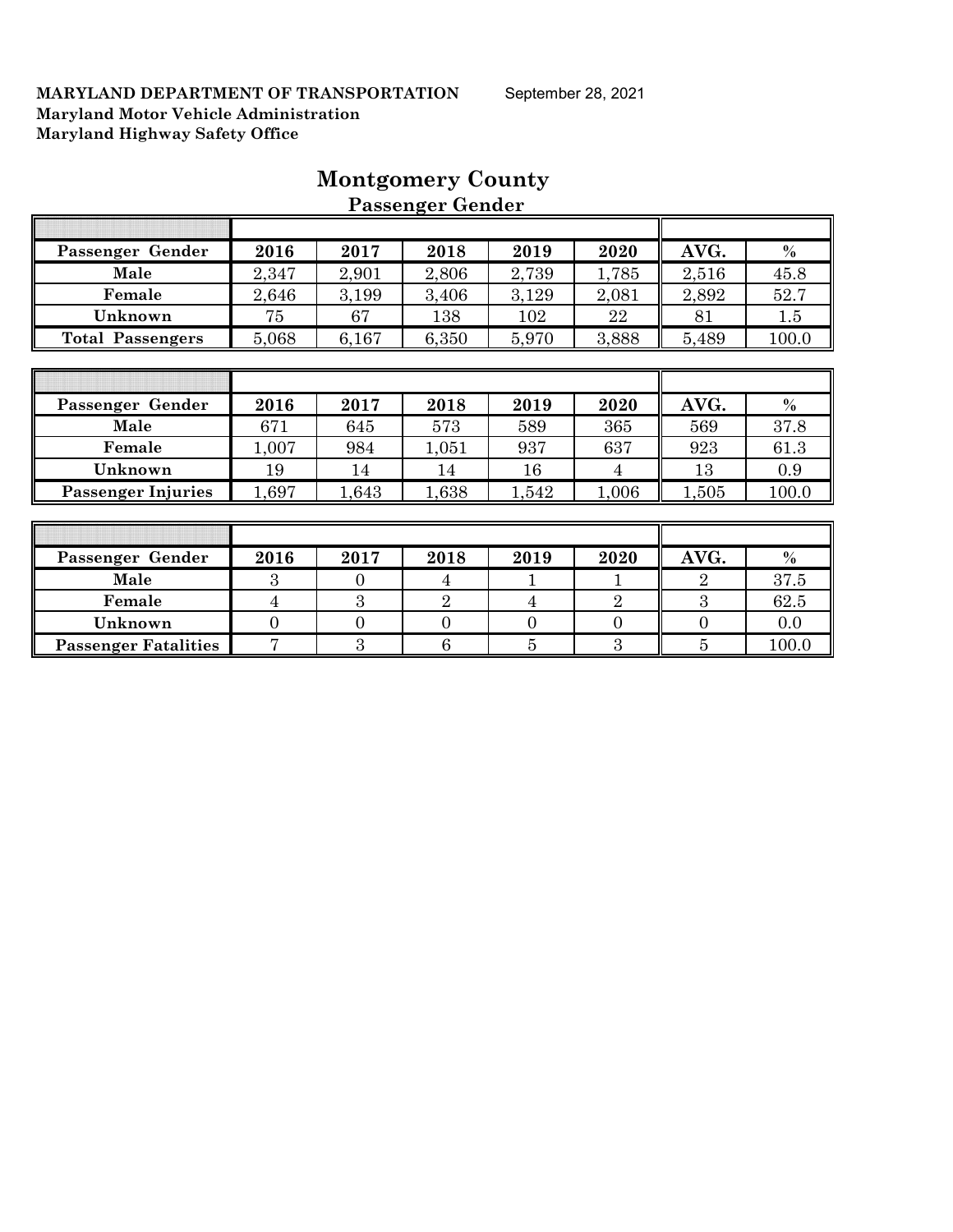| Passenger Gender            | 2016           | 2017           | 2018           | 2019           | 2020           | AVG.           | $\%$  |
|-----------------------------|----------------|----------------|----------------|----------------|----------------|----------------|-------|
| Male                        | 2,347          | 2,901          | 2,806          | 2,739          | 1,785          | 2,516          | 45.8  |
| Female                      | 2,646          | 3,199          | 3,406          | 3,129          | 2,081          | 2,892          | 52.7  |
| Unknown                     | 75             | 67             | 138            | 102            | 22             | 81             | 1.5   |
| <b>Total Passengers</b>     | 5,068          | 6,167          | 6,350          | 5,970          | 3,888          | 5,489          | 100.0 |
|                             |                |                |                |                |                |                |       |
|                             |                |                |                |                |                |                |       |
| Passenger Gender            | 2016           | 2017           | 2018           | 2019           | 2020           | AVG.           | $\%$  |
| Male                        | 671            | 645            | 573            | 589            | 365            | 569            | 37.8  |
| Female                      | 1,007          | 984            | 1,051          | 937            | 637            | 923            | 61.3  |
| Unknown                     | 19             | 14             | 14             | 16             | 4              | 13             | 0.9   |
| <b>Passenger Injuries</b>   | 1,697          | 1,643          | 1,638          | 1,542          | 1,006          | 1,505          | 100.0 |
|                             |                |                |                |                |                |                |       |
|                             |                |                |                |                |                |                |       |
| Passenger Gender            | 2016           | 2017           | 2018           | 2019           | 2020           | AVG.           | $\%$  |
| Male                        | 3              | $\overline{0}$ | 4              | 1              |                | $\overline{2}$ | 37.5  |
| Female                      | $\overline{4}$ | 3              | $\overline{2}$ | 4              | $\overline{2}$ | 3              | 62.5  |
| Unknown                     | $\theta$       | $\overline{0}$ | $\overline{0}$ | $\theta$       | $\overline{0}$ | $\theta$       | 0.0   |
| <b>Passenger Fatalities</b> | $\overline{7}$ | 3              | 6              | $\overline{5}$ | 3              | $\overline{5}$ | 100.0 |

# **Montgomery County Passenger Gender**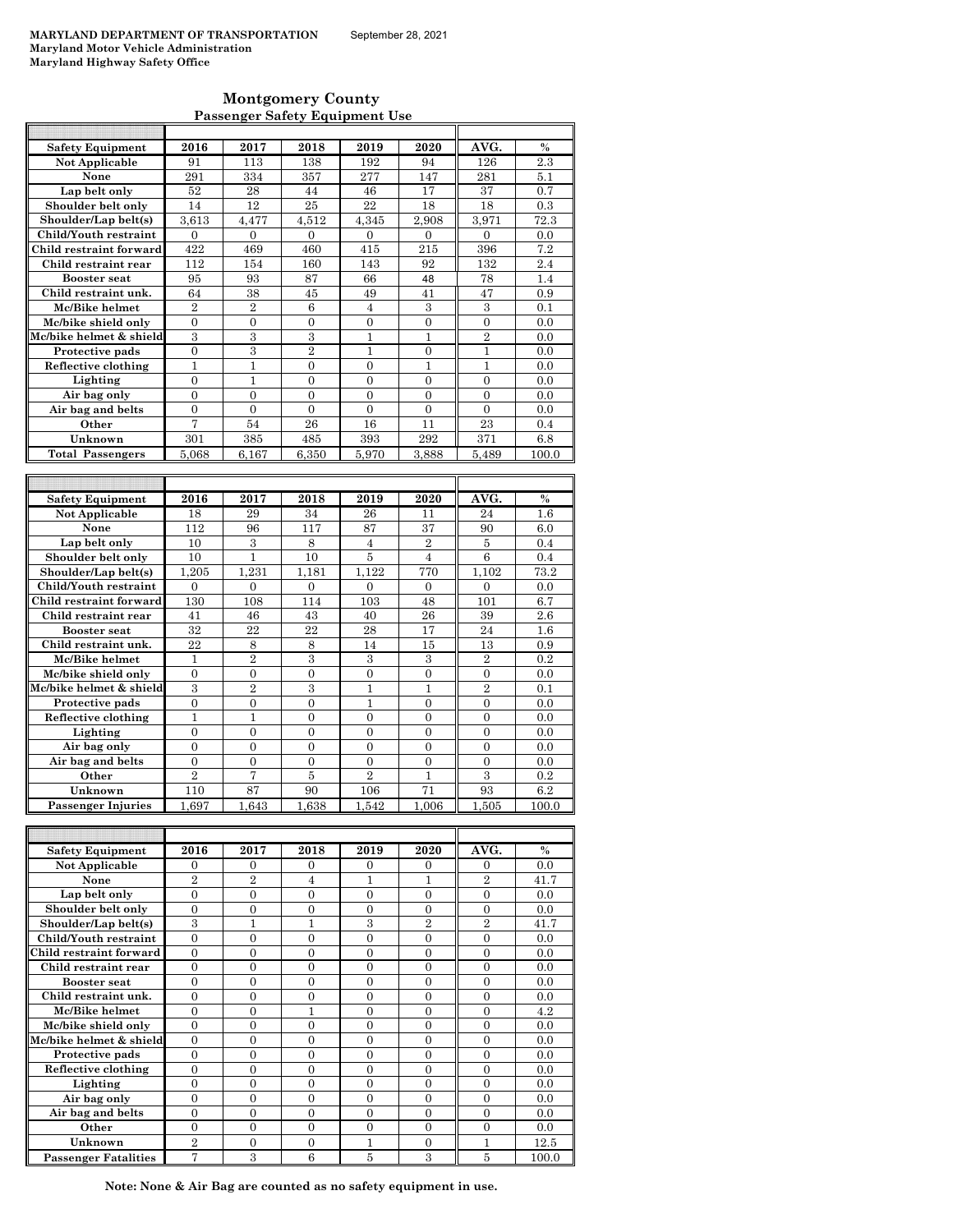### **Montgomery County Passenger Safety Equipment Use**

| <b>Safety Equipment</b>   | 2016                             | 2017           | 2018           | 2019                             | 2020                           | AVG.             | $\frac{0}{0}$ |
|---------------------------|----------------------------------|----------------|----------------|----------------------------------|--------------------------------|------------------|---------------|
| Not Applicable            | 91                               | 113            | 138            | 192                              | 94                             | 126              | 2.3           |
| None                      | 291                              | 334            | 357            | 277                              | 147                            | 281              | 5.1           |
| Lap belt only             | 52                               | 28             | 44             | 46                               | 17                             | 37               | 0.7           |
| Shoulder belt only        | 14                               | 12             | 25             | 22                               | 18                             | 18               | 0.3           |
| Shoulder/Lap belt(s)      | 3.613                            | 4.477          | 4.512          | 4.345                            | 2.908                          | 3.971            | 72.3          |
| Child/Youth restraint     | $\Omega$                         | $\Omega$       | $\Omega$       | $\theta$                         | $\Omega$                       | $\theta$         | 0.0           |
| Child restraint forward   | 422                              | 469            | 460            | 415                              | 215                            | 396              | 7.2           |
| Child restraint rear      | 112                              | 154            | 160            | 143                              | 92                             | 132              | 2.4           |
| <b>Booster</b> seat       | 95                               | 93             | 87             | 66                               | 48                             | 78               | 1.4           |
| Child restraint unk.      | 64                               | 38             | 45             | 49                               | 41                             | 47               | 0.9           |
| Mc/Bike helmet            | $\overline{2}$                   | $\overline{2}$ | 6              | $\overline{4}$                   | 3                              | 3                | 0.1           |
| Mc/bike shield only       | $\overline{0}$                   | $\overline{0}$ | $\overline{0}$ | $\theta$                         | $\theta$                       | $\theta$         | 0.0           |
| Mc/bike helmet & shield   | 3                                | 3              | 3              | 1                                | 1                              | $\overline{2}$   | 0.0           |
| Protective pads           | $\overline{0}$                   | 3              | $\overline{2}$ | $\mathbf{1}$                     | $\overline{0}$                 | $\mathbf{1}$     | 0.0           |
| Reflective clothing       | $\mathbf{1}$                     | 1              | $\Omega$       | $\Omega$                         | 1                              | 1                | 0.0           |
| Lighting                  | $\overline{0}$                   | $\mathbf{1}$   | $\overline{0}$ | $\overline{0}$                   | $\overline{0}$                 | $\overline{0}$   | 0.0           |
| Air bag only              | $\overline{0}$                   | $\overline{0}$ | $\overline{0}$ | $\overline{0}$                   | $\overline{0}$                 | $\overline{0}$   | 0.0           |
| Air bag and belts         | $\boldsymbol{0}$                 | $\overline{0}$ | $\overline{0}$ | $\overline{0}$                   | $\mathbf{0}$                   | $\overline{0}$   | 0.0           |
| Other                     | 7                                | 54             | 26             | 16                               | 11                             | 23               | 0.4           |
| Unknown                   | 301                              | 385            | 485            | 393                              | 292                            | 371              | 6.8           |
| <b>Total Passengers</b>   | 5,068                            | 6,167          | 6,350          | 5,970                            | 3,888                          | 5,489            | 100.0         |
|                           |                                  |                |                |                                  |                                |                  |               |
|                           |                                  |                |                |                                  |                                |                  |               |
| <b>Safety Equipment</b>   | 2016                             | 2017           | 2018           | 2019                             | 2020                           | AVG.             | $\frac{0}{0}$ |
|                           |                                  |                |                |                                  |                                |                  |               |
| <b>Not Applicable</b>     | 18                               | 29             | 34             | 26                               | 11                             | 24               | 1.6           |
| None                      | 112                              | 96             | 117            | 87                               | 37                             | 90               | 6.0           |
| Lap belt only             | 10                               | 3              | 8              | 4                                | $\overline{2}$                 | 5                | 0.4           |
| Shoulder belt only        | 10                               | $\mathbf{1}$   | 10             | $\overline{5}$                   | $\overline{4}$                 | $\boldsymbol{6}$ | 0.4           |
| Shoulder/Lap belt(s)      | 1.205                            | 1.231          | 1.181          | 1.122                            | 770                            | 1.102            | 73.2          |
| Child/Youth restraint     | $\overline{0}$                   | $\overline{0}$ | $\overline{0}$ | $\mathbf{0}$                     | $\mathbf{0}$                   | $\overline{0}$   | 0.0           |
| Child restraint forward   | 130                              | 108            | 114            | 103                              | 48                             | 101              | 6.7           |
| Child restraint rear      | 41                               | 46             | 43             | 40                               | 26                             | 39               | 2.6           |
| <b>Booster</b> seat       | 32                               | 22             | 22             | 28                               | 17                             | 24               | 1.6           |
| Child restraint unk.      | 22                               | 8              | 8              | 14                               | 15                             | 13               | 0.9           |
| Mc/Bike helmet            | $\mathbf{1}$                     | $\overline{2}$ | 3              | 3                                | 3                              | $\overline{2}$   | 0.2           |
| Mc/bike shield only       | $\Omega$                         | $\Omega$       | $\theta$       | $\theta$                         | $\theta$                       | $\Omega$         | 0.0           |
| Mc/bike helmet & shield   | 3                                | $\overline{2}$ | 3              | $\mathbf{1}$                     | $\mathbf{1}$                   | $\overline{2}$   | 0.1           |
| Protective pads           | $\overline{0}$                   | $\overline{0}$ | $\overline{0}$ | $\mathbf{1}$                     | $\overline{0}$                 | $\overline{0}$   | 0.0           |
| Reflective clothing       | $\mathbf{1}$                     | $\mathbf{1}$   | $\theta$       | $\theta$                         | $\theta$                       | $\theta$         | 0.0           |
| Lighting                  | $\overline{0}$                   | 0              | $\theta$       | $\Omega$                         | $\Omega$                       | $\overline{0}$   | 0.0           |
| Air bag only              | $\overline{0}$                   | $\overline{0}$ | $\overline{0}$ | $\theta$                         | $\overline{0}$                 | $\overline{0}$   | 0.0           |
| Air bag and belts         | $\overline{0}$<br>$\overline{2}$ | $\overline{0}$ | $\overline{0}$ | $\overline{0}$<br>$\overline{2}$ | $\overline{0}$<br>$\mathbf{1}$ | $\boldsymbol{0}$ | 0.0<br>0.2    |
| Other                     |                                  | 7              | $\overline{5}$ |                                  |                                | 3                |               |
| Unknown                   | 110                              | 87             | 90             | 106                              | 71                             | 93               | 6.2           |
| <b>Passenger Injuries</b> | 1,697                            | 1,643          | 1.638          | 1.542                            | 1.006                          | 1.505            | 100.0         |
|                           |                                  |                |                |                                  |                                |                  |               |

| <b>Safety Equipment</b>     | 2016     | 2017     | 2018     | 2019     | 2020     | AVG.     | $\%$  |
|-----------------------------|----------|----------|----------|----------|----------|----------|-------|
| Not Applicable              | $\Omega$ | $\Omega$ | $\Omega$ | $\Omega$ | $\Omega$ | $\Omega$ | 0.0   |
| None                        | $^{9}$   | 2        | 4        |          |          | 2        | 41.7  |
| Lap belt only               | $\theta$ | $\theta$ | $\theta$ | $\Omega$ | $\theta$ | $\Omega$ | 0.0   |
| Shoulder belt only          | $\theta$ | $\Omega$ | 0        | 0        | $\Omega$ | $\Omega$ | 0.0   |
| Shoulder/Lap belt(s)        | 3        |          |          | 3        | 2        | 2        | 41.7  |
| Child/Youth restraint       | $\theta$ | $\theta$ | $\theta$ | $\Omega$ | $\theta$ | $\Omega$ | 0.0   |
| Child restraint forward     | $\Omega$ | $\Omega$ | 0        | $\Omega$ | $\theta$ | $\Omega$ | 0.0   |
| Child restraint rear        | $\theta$ | $\Omega$ | 0        | $\Omega$ | $\Omega$ | $\Omega$ | 0.0   |
| <b>Booster seat</b>         | $\Omega$ | $\Omega$ | $\Omega$ | $\Omega$ | $\theta$ | $\Omega$ | 0.0   |
| Child restraint unk.        | $\theta$ | $\Omega$ | 0        | $\Omega$ | $\Omega$ | $\Omega$ | 0.0   |
| Mc/Bike helmet              | $\theta$ | 0        |          | 0        | $\theta$ | $\Omega$ | 4.2   |
| Mc/bike shield only         | $\Omega$ | $\Omega$ | $\Omega$ | $\Omega$ | $\Omega$ | $\Omega$ | 0.0   |
| Mc/bike helmet & shield     | $\Omega$ | $\Omega$ | $\Omega$ | $\Omega$ | $\theta$ | $\Omega$ | 0.0   |
| Protective pads             | $\theta$ | $\Omega$ | 0        | $\Omega$ | $\Omega$ | $\theta$ | 0.0   |
| Reflective clothing         | $\theta$ | $\Omega$ | $\theta$ | $\Omega$ | $\theta$ | $\Omega$ | 0.0   |
| Lighting                    | $\Omega$ | $\Omega$ | $\Omega$ | $\Omega$ | $\theta$ | $\Omega$ | 0.0   |
| Air bag only                | $\Omega$ | $\Omega$ | 0        | $\Omega$ | $\Omega$ | $\theta$ | 0.0   |
| Air bag and belts           | $\theta$ | $\Omega$ | $\theta$ | $\Omega$ | $\theta$ | $\Omega$ | 0.0   |
| Other                       | $\Omega$ | $\Omega$ | $\Omega$ | $\Omega$ | $\Omega$ | $\Omega$ | 0.0   |
| Unknown                     | $^{9}$   | $\Omega$ | $\Omega$ |          | $\Omega$ |          | 12.5  |
| <b>Passenger Fatalities</b> | 7        | 3        | 6        | 5        | 3        | 5        | 100.0 |

**Note: None & Air Bag are counted as no safety equipment in use.**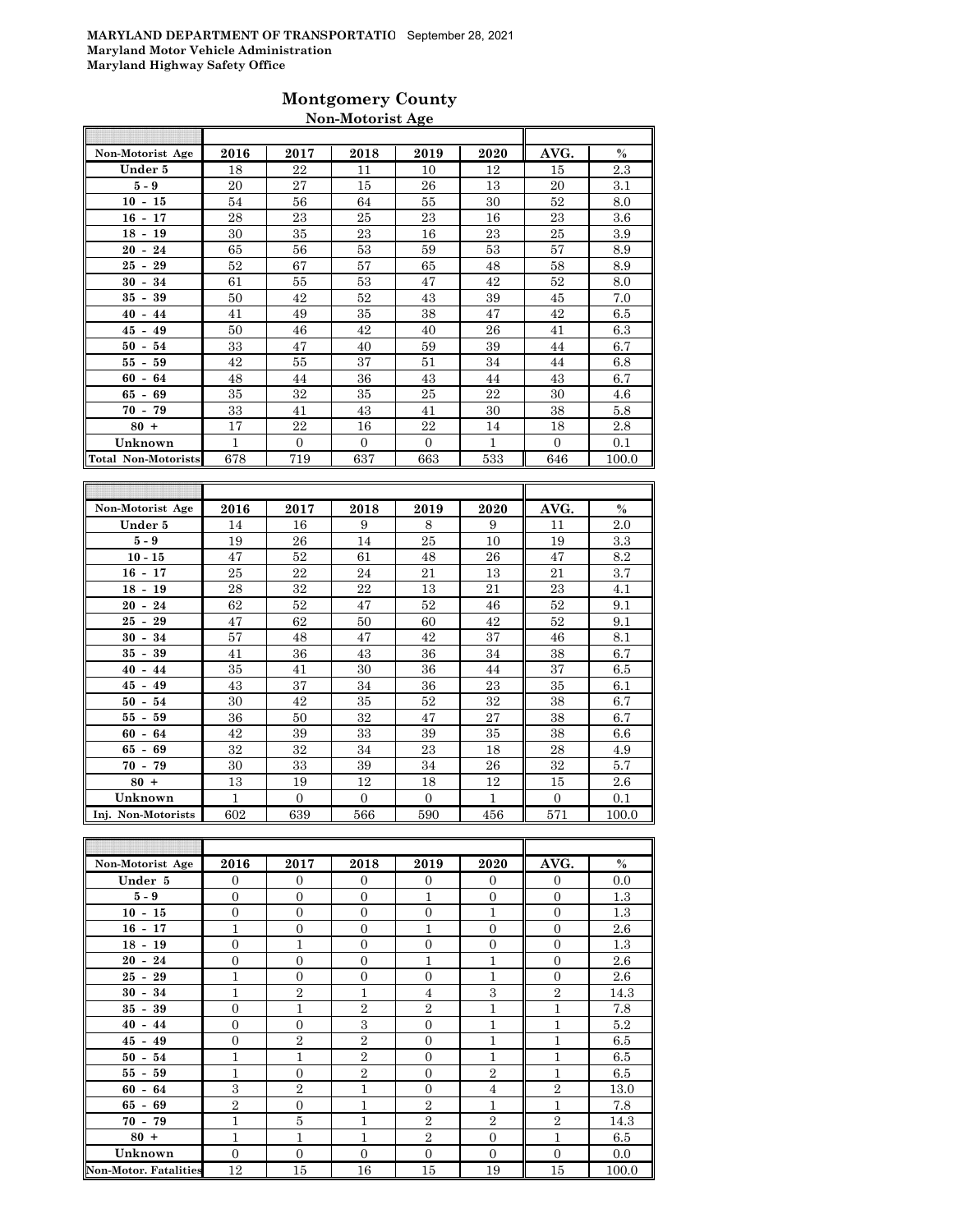## **Montgomery County Non-Motorist Age**

| Non-Motorist Age                     | 2016 | 2017         | 2018     | 2019     | 2020         | AVG.     | $\%$  |
|--------------------------------------|------|--------------|----------|----------|--------------|----------|-------|
| Under 5                              | 18   | 22           | 11       | 10       | 12           | 15       | 2.3   |
| $5-9$                                | 20   | 27           | 15       | 26       | 13           | 20       | 3.1   |
| $10 - 15$                            | 54   | 56           | 64       | 55       | 30           | 52       | 8.0   |
| $16 - 17$                            | 28   | 23           | 25       | 23       | 16           | 23       | 3.6   |
| $18 -$<br>19                         | 30   | 35           | 23       | 16       | 23           | 25       | 3.9   |
| 24<br>20<br>$\blacksquare$           | 65   | 56           | 53       | 59       | 53           | 57       | 8.9   |
| 25<br>29<br>$\overline{\phantom{a}}$ | 52   | 67           | 57       | 65       | 48           | 58       | 8.9   |
| 34<br>30<br>$\overline{\phantom{a}}$ | 61   | 55           | 53       | 47       | 42           | 52       | 8.0   |
| 39<br>35<br>$\blacksquare$           | 50   | 42           | 52       | 43       | 39           | 45       | 7.0   |
| 40<br>44<br>$\overline{\phantom{a}}$ | 41   | 49           | 35       | 38       | 47           | 42       | 6.5   |
| 45<br>49<br>$\overline{\phantom{a}}$ | 50   | 46           | 42       | 40       | 26           | 41       | 6.3   |
| 50<br>54<br>$\overline{\phantom{a}}$ | 33   | 47           | 40       | 59       | 39           | 44       | 6.7   |
| 55<br>59<br>$\blacksquare$           | 42   | 55           | 37       | 51       | 34           | 44       | 6.8   |
| 64<br>60<br>$\blacksquare$           | 48   | 44           | 36       | 43       | 44           | 43       | 6.7   |
| 69<br>65<br>$\blacksquare$           | 35   | 32           | 35       | 25       | 22           | 30       | 4.6   |
| $70 -$<br>79                         | 33   | 41           | 43       | 41       | 30           | 38       | 5.8   |
| $80 +$                               | 17   | 22           | 16       | 22       | 14           | 18       | 2.8   |
| Unknown                              | 1    | $\mathbf{0}$ | $\Omega$ | $\Omega$ | $\mathbf{1}$ | $\Omega$ | 0.1   |
| Total Non-Motorists                  | 678  | 719          | 637      | 663      | 533          | 646      | 100.0 |

| Non-Motorist Age                     | 2016 | 2017     | 2018     | 2019     | 2020 | AVG.     | $\%$  |
|--------------------------------------|------|----------|----------|----------|------|----------|-------|
| Under 5                              | 14   | 16       | 9        | 8        | 9    | 11       | 2.0   |
| $5-9$                                | 19   | 26       | 14       | 25       | 10   | 19       | 3.3   |
| $10 - 15$                            | 47   | 52       | 61       | 48       | 26   | 47       | 8.2   |
| $16 - 17$                            | 25   | 22       | 24       | 21       | 13   | 21       | 3.7   |
| $18 -$<br>19                         | 28   | 32       | 22       | 13       | 21   | 23       | 4.1   |
| 20<br>24<br>$\overline{\phantom{a}}$ | 62   | 52       | 47       | 52       | 46   | 52       | 9.1   |
| 25<br>29<br>$\overline{\phantom{a}}$ | 47   | 62       | 50       | 60       | 42   | 52       | 9.1   |
| 30<br>34<br>$\overline{\phantom{a}}$ | 57   | 48       | 47       | 42       | 37   | 46       | 8.1   |
| 39<br>35<br>$\overline{\phantom{a}}$ | 41   | 36       | 43       | 36       | 34   | 38       | 6.7   |
| 40<br>44<br>$\blacksquare$           | 35   | 41       | 30       | 36       | 44   | 37       | 6.5   |
| 45<br>49<br>$\overline{\phantom{a}}$ | 43   | 37       | 34       | 36       | 23   | 35       | 6.1   |
| $50 -$<br>54                         | 30   | 42       | 35       | 52       | 32   | 38       | 6.7   |
| 55 -<br>59                           | 36   | 50       | 32       | 47       | 27   | 38       | 6.7   |
| $60 - 64$                            | 42   | 39       | 33       | 39       | 35   | 38       | 6.6   |
| 69<br>65 -                           | 32   | 32       | 34       | 23       | 18   | 28       | 4.9   |
| $70 - 79$                            | 30   | 33       | 39       | 34       | 26   | 32       | 5.7   |
| $80 +$                               | 13   | 19       | 12       | 18       | 12   | 15       | 2.6   |
| Unknown                              | 1    | $\Omega$ | $\Omega$ | $\Omega$ | 1    | $\Omega$ | 0.1   |
| Inj. Non-Motorists                   | 602  | 639      | 566      | 590      | 456  | 571      | 100.0 |

| Non-Motorist Age             | 2016           | 2017           | 2018           | 2019           | 2020           | AVG.           | $\%$  |
|------------------------------|----------------|----------------|----------------|----------------|----------------|----------------|-------|
| Under 5                      | $\Omega$       | $\mathbf{0}$   | $\Omega$       | $\Omega$       | $\overline{0}$ | $\Omega$       | 0.0   |
| $5 - 9$                      | $\mathbf{0}$   | $\mathbf{0}$   | $\Omega$       | $\mathbf{1}$   | $\mathbf{0}$   | $\Omega$       | 1.3   |
| $10 - 15$                    | $\mathbf{0}$   | $\mathbf{0}$   | $\overline{0}$ | $\overline{0}$ | $\mathbf{1}$   | $\overline{0}$ | 1.3   |
| $16 - 17$                    | $\mathbf{1}$   | $\overline{0}$ | $\overline{0}$ | $\mathbf{1}$   | $\mathbf{0}$   | $\Omega$       | 2.6   |
| $18 - 19$                    | $\overline{0}$ | $\mathbf{1}$   | $\overline{0}$ | $\overline{0}$ | $\overline{0}$ | $\overline{0}$ | 1.3   |
| $20 - 24$                    | $\Omega$       | $\overline{0}$ | $\Omega$       | $\mathbf{1}$   | $\overline{1}$ | $\Omega$       | 2.6   |
| $25 - 29$                    | $\mathbf{1}$   | $\mathbf{0}$   | $\overline{0}$ | $\Omega$       | $\mathbf{1}$   | $\Omega$       | 2.6   |
| $30 - 34$                    | 1              | $\overline{2}$ | 1              | $\overline{4}$ | 3              | $\overline{2}$ | 14.3  |
| $35 - 39$                    | $\mathbf{0}$   | $\mathbf{1}$   | $\overline{2}$ | $\overline{2}$ | $\mathbf{1}$   | $\mathbf{1}$   | 7.8   |
| $40 - 44$                    | $\mathbf{0}$   | $\mathbf{0}$   | 3              | $\mathbf{0}$   | 1              | $\mathbf{1}$   | 5.2   |
| $45 - 49$                    | $\mathbf{0}$   | $\overline{2}$ | $\overline{2}$ | $\Omega$       | $\overline{1}$ | $\mathbf{1}$   | 6.5   |
| $50 - 54$                    | 1              | $\mathbf{1}$   | $\overline{2}$ | $\overline{0}$ | 1              | $\mathbf{1}$   | 6.5   |
| $55 - 59$                    | $\mathbf{1}$   | $\overline{0}$ | $\overline{2}$ | $\overline{0}$ | $\overline{2}$ | $\mathbf{1}$   | 6.5   |
| $60 - 64$                    | 3              | $\overline{2}$ | 1              | $\overline{0}$ | $\overline{4}$ | $\overline{2}$ | 13.0  |
| $65 - 69$                    | $\overline{2}$ | $\mathbf{0}$   | $\mathbf{1}$   | $\overline{2}$ | $\mathbf{1}$   | $\mathbf{1}$   | 7.8   |
| $70 - 79$                    | $\mathbf{1}$   | 5              | 1              | $\overline{2}$ | $\overline{2}$ | $\overline{2}$ | 14.3  |
| $80 +$                       | $\mathbf{1}$   | $\mathbf{1}$   | $\mathbf{1}$   | $\overline{2}$ | $\overline{0}$ | $\mathbf{1}$   | 6.5   |
| Unknown                      | $\mathbf{0}$   | $\mathbf{0}$   | $\overline{0}$ | $\mathbf{0}$   | $\mathbf{0}$   | $\overline{0}$ | 0.0   |
| <b>Non-Motor. Fatalities</b> | 12             | 15             | 16             | 15             | 19             | 15             | 100.0 |

F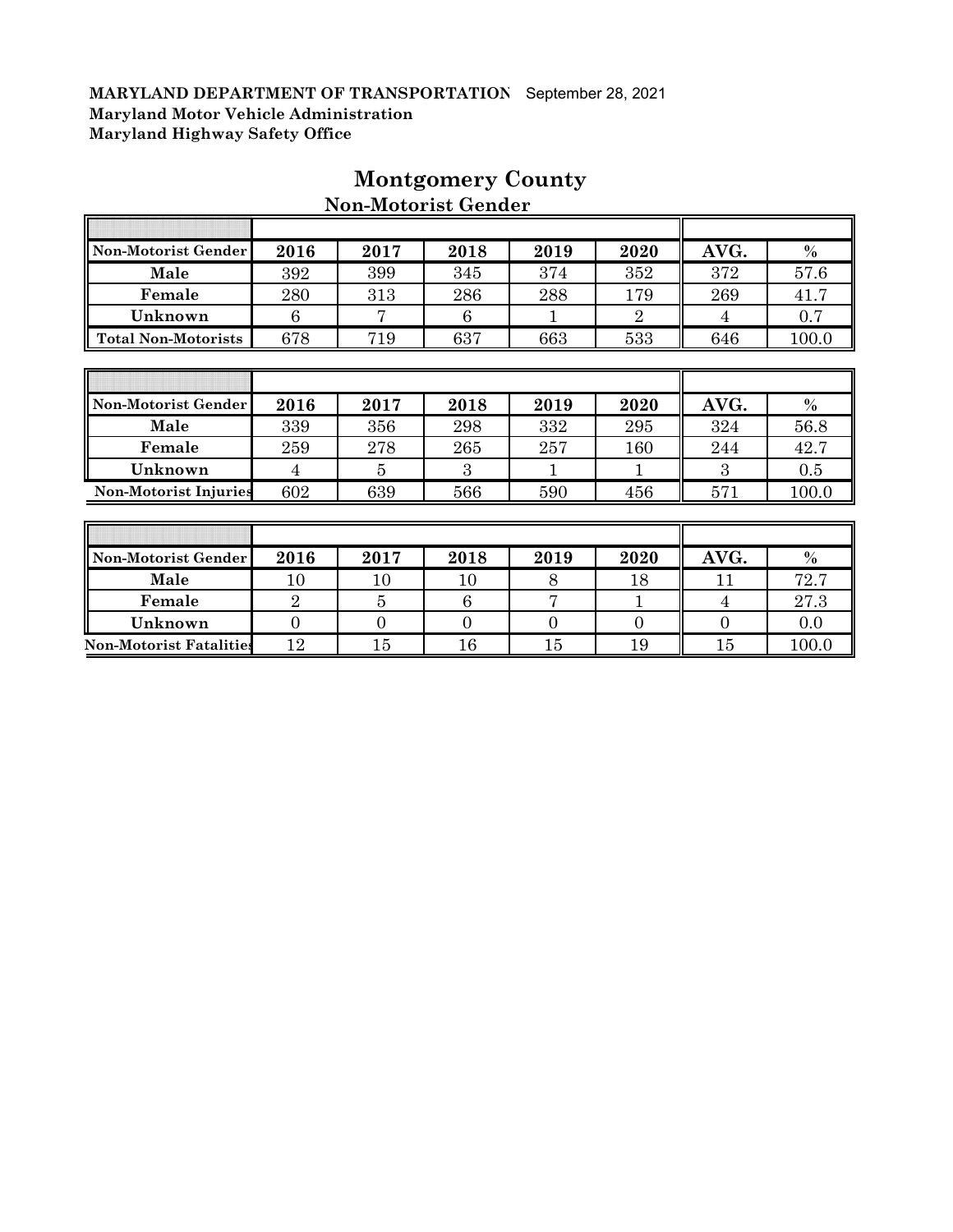F

| Non-Motorist Gender          | 2016 | 2017 | 2018 | 2019    | 2020           | AVG.          | $\frac{0}{0}$ |
|------------------------------|------|------|------|---------|----------------|---------------|---------------|
| Male                         | 392  | 399  | 345  | 374     | 352            | 372           | 57.6          |
| Female                       | 280  | 313  | 286  | 288     | 179            | 269           | 41.7          |
| Unknown                      | 6    | 7    | 6    |         | $\overline{2}$ | 4             | 0.7           |
| <b>Total Non-Motorists</b>   | 678  | 719  | 637  | 663     | 533            | 646           | 100.0         |
|                              |      |      |      |         |                |               |               |
|                              |      |      |      |         |                |               |               |
| Non-Motorist Gender          | 2016 | 2017 | 2018 | 2019    | 2020           | AVG.          | $\%$          |
| Male                         | 339  | 356  | 298  | 332     | 295            | 324           | 56.8          |
| Female                       | 259  | 278  | 265  | $257\,$ | 160            | 244           | 42.7          |
| Unknown                      | 4    | 5    | 3    |         |                | $\mathcal{R}$ | 0.5           |
| <b>Non-Motorist Injuries</b> | 602  | 639  | 566  | 590     | 456            | 571           | 100.0         |
|                              |      |      |      |         |                |               |               |
|                              |      |      |      |         |                |               |               |
| Non-Motorist Gender          | 2016 | 2017 | 2018 | 2019    | 2020           | AVG.          | $\%$          |
| Male                         | 10   | 10   | 10   | 8       | 18             | 11            | 72.7          |

**Female** 1 2 3 5 6 7 7 1 4 27.3 **Unknown** 0 0 0 0 0 0 0.0 **Non-Motorist Fatalities** 12 15 16 15 19 15 100.0

# **Montgomery County Non-Motorist Gender**

ī

 $\overline{\mathbf{1}}$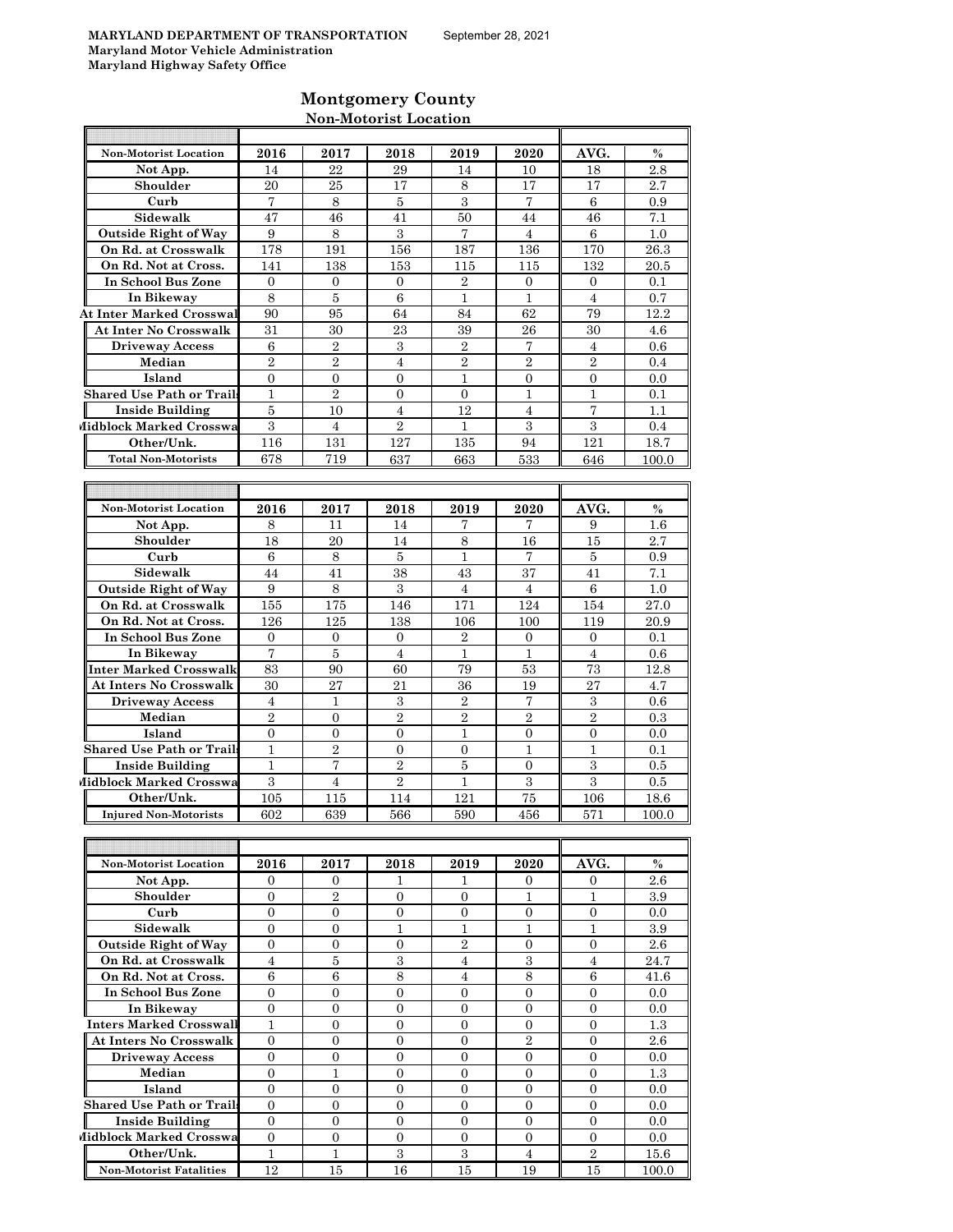Ħ

F

 $\overline{\mathbb{T}}$ 

# **Montgomery County Non-Motorist Location**

| <b>Non-Motorist Location</b>     | 2016           | 2017              | 2018             | 2019             | 2020             | AVG.             | $\%$    |
|----------------------------------|----------------|-------------------|------------------|------------------|------------------|------------------|---------|
| Not App.                         | 14             | 22                | 29               | 14               | 10               | 18               | 2.8     |
| Shoulder                         | 20             | 25                | 17               | 8                | 17               | 17               | 2.7     |
| Curb                             | $\overline{7}$ | 8                 | 5                | 3                | 7                | 6                | 0.9     |
| Sidewalk                         | 47             | 46                | 41               | 50               | 44               | 46               | 7.1     |
| <b>Outside Right of Way</b>      | 9              | 8                 | 3                | $\overline{7}$   | 4                | $\,6$            | 1.0     |
| On Rd. at Crosswalk              | 178            | 191               | 156              | 187              | 136              | 170              | 26.3    |
|                                  |                |                   |                  |                  |                  |                  |         |
| On Rd. Not at Cross.             | 141            | 138               | 153              | 115              | 115              | 132              | 20.5    |
| In School Bus Zone               | $\overline{0}$ | $\mathbf{0}$      | $\mathbf{0}$     | $\overline{2}$   | $\overline{0}$   | $\mathbf{0}$     | 0.1     |
| In Bikeway                       | 8              | 5                 | $\,6$            | 1                | 1                | $\overline{4}$   | 0.7     |
| <b>At Inter Marked Crosswal</b>  | 90             | 95                | 64               | 84               | 62               | 79               | 12.2    |
| <b>At Inter No Crosswalk</b>     | 31             | 30                | 23               | 39               | 26               | 30               | 4.6     |
| <b>Driveway Access</b>           | 6              | $\sqrt{2}$        | 3                | $\boldsymbol{2}$ | 7                | $\overline{4}$   | 0.6     |
| Median                           | $\overline{2}$ | $\overline{2}$    | $\overline{4}$   | $\overline{2}$   | $\overline{2}$   | $\overline{2}$   | 0.4     |
| Island                           | $\overline{0}$ | $\mathbf{0}$      | $\overline{0}$   | $\mathbf{1}$     | $\overline{0}$   | $\overline{0}$   | 0.0     |
| <b>Shared Use Path or Trails</b> | $\mathbf{1}$   | $\overline{2}$    | $\overline{0}$   | $\mathbf{0}$     | $\mathbf{1}$     | $\mathbf{1}$     | 0.1     |
| <b>Inside Building</b>           | 5              | 10                | 4                | 12               | $\overline{4}$   | 7                | 1.1     |
| Midblock Marked Crosswa          | 3              | 4                 | $\overline{2}$   | 1                | 3                | 3                | 0.4     |
| Other/Unk.                       | 116            | 131               | 127              | 135              | 94               | 121              | 18.7    |
| <b>Total Non-Motorists</b>       | 678            | 719               | 637              | 663              | 533              | 646              | 100.0   |
|                                  |                |                   |                  |                  |                  |                  |         |
|                                  |                |                   |                  |                  |                  |                  |         |
| <b>Non-Motorist Location</b>     | 2016           | 2017              | 2018             | 2019             | 2020             | AVG.             | $\%$    |
| Not App.                         | 8              | 11                | 14               | 7                | 7                | 9                | $1.6\,$ |
| Shoulder                         | 18             | 20                | 14               | 8                | 16               | 15               | 2.7     |
|                                  |                |                   |                  | $\mathbf{1}$     | 7                |                  |         |
| Curb                             | 6              | 8                 | 5                |                  |                  | 5                | 0.9     |
| Sidewalk                         | 44             | 41                | 38               | 43               | 37               | 41               | 7.1     |
| <b>Outside Right of Way</b>      | 9              | 8                 | 3                | $\overline{4}$   | $\overline{4}$   | 6                | 1.0     |
| On Rd. at Crosswalk              | 155            | 175               | 146              | 171              | 124              | 154              | 27.0    |
| On Rd. Not at Cross.             | 126            | 125               | 138              | 106              | 100              | 119              | 20.9    |
| In School Bus Zone               | $\mathbf{0}$   | $\mathbf{0}$      | 0                | $\overline{2}$   | $\overline{0}$   | 0                | 0.1     |
| In Bikeway                       | 7              | 5                 | 4                | 1                | 1                | $\overline{4}$   | 0.6     |
| Inter Marked Crosswalk           | 83             | 90                | 60               | 79               | 53               | 73               | 12.8    |
| At Inters No Crosswalk           | 30             | 27                | 21               | 36               | 19               | 27               | 4.7     |
| <b>Driveway Access</b>           | 4              | 1                 | $\,3$            | $\boldsymbol{2}$ | 7                | $\,3$            | 0.6     |
| Median                           | $\overline{2}$ | $\overline{0}$    | $\overline{2}$   | $\overline{2}$   | $\overline{2}$   | $\overline{2}$   | 0.3     |
| Island                           | $\overline{0}$ | $\mathbf{0}$      | $\overline{0}$   | $\mathbf{1}$     | $\overline{0}$   | $\theta$         | 0.0     |
| <b>Shared Use Path or Trails</b> | $\mathbf{1}$   | $\overline{2}$    | 0                | $\overline{0}$   | $\mathbf{1}$     | $\mathbf{1}$     | 0.1     |
| <b>Inside Building</b>           | $\mathbf{1}$   | $\scriptstyle{7}$ | $\overline{2}$   | 5                | $\boldsymbol{0}$ | 3                | $0.5\,$ |
| Midblock Marked Crosswa          | 3              | $\overline{4}$    | $\overline{2}$   | $\mathbf{1}$     | 3                | 3                | 0.5     |
| Other/Unk.                       | 105            | 115               | 114              | 121              | 75               | 106              | 18.6    |
| <b>Injured Non-Motorists</b>     | 602            | 639               | 566              | 590              | 456              | 571              | 100.0   |
|                                  |                |                   |                  |                  |                  |                  |         |
|                                  |                |                   |                  |                  |                  |                  |         |
|                                  |                |                   |                  |                  |                  |                  |         |
| <b>Non-Motorist Location</b>     | 2016           | 2017              | 2018             | 2019             | 2020             | AVG.             | $\%$    |
| Not App.                         | $\overline{0}$ | $\mathbf{0}$      | 1                | 1                | $\mathbf{0}$     | $\theta$         | 2.6     |
| Shoulder                         | $\overline{0}$ | $\,2$             | 0                | 0                | 1                | 1                | 3.9     |
| Curb                             | $\overline{0}$ | $\overline{0}$    | 0                | $\overline{0}$   | $\overline{0}$   | $\mathbf{0}$     | 0.0     |
| Sidewalk                         | $\mathbf{0}$   | $\overline{0}$    | $\mathbf{1}$     | $\mathbf{1}$     | $\mathbf{1}$     | $\mathbf{1}$     | 3.9     |
| <b>Outside Right of Way</b>      | $\overline{0}$ | $\overline{0}$    | $\overline{0}$   | $\overline{2}$   | $\overline{0}$   | $\mathbf{0}$     | 2.6     |
| On Rd. at Crosswalk              | $\overline{4}$ | $\bf 5$           | 3                | $\overline{4}$   | 3                | $\overline{4}$   | 24.7    |
| On Rd. Not at Cross.             | 6              | 6                 | $\,8\,$          | $\overline{4}$   | $\,8\,$          | $\,6$            | 41.6    |
| In School Bus Zone               | $\mathbf{0}$   | $\mathbf{0}$      | $\boldsymbol{0}$ | $\mathbf{0}$     | $\overline{0}$   | $\overline{0}$   | 0.0     |
| In Bikeway                       | $\overline{0}$ | 0                 | 0                | 0                | $\mathbf{0}$     | $\mathbf{0}$     | 0.0     |
| <b>Inters Marked Crosswall</b>   | $\mathbf{1}$   | $\overline{0}$    | $\overline{0}$   | $\overline{0}$   | $\overline{0}$   | $\mathbf{0}$     | 1.3     |
| At Inters No Crosswalk           | $\mathbf{0}$   | $\overline{0}$    | $\boldsymbol{0}$ | $\mathbf{0}$     | $\sqrt{2}$       | $\mathbf{0}$     | 2.6     |
| <b>Driveway Access</b>           | 0              | 0                 | 0                | $\overline{0}$   | $\overline{0}$   | $\boldsymbol{0}$ | 0.0     |
| Median                           | 0              | $\mathbf{1}$      | 0                | $\boldsymbol{0}$ | $\overline{0}$   | $\overline{0}$   | $1.3\,$ |
| Island                           | $\mathbf{0}$   | $\overline{0}$    | $\overline{0}$   | $\overline{0}$   | $\overline{0}$   | $\mathbf{0}$     | 0.0     |
| <b>Shared Use Path or Trails</b> | $\mathbf{0}$   | $\overline{0}$    | $\boldsymbol{0}$ | $\mathbf{0}$     | $\overline{0}$   | $\overline{0}$   | 0.0     |
| <b>Inside Building</b>           | $\overline{0}$ | $\overline{0}$    | $\overline{0}$   | $\overline{0}$   | $\overline{0}$   | $\overline{0}$   | $0.0\,$ |
| Midblock Marked Crosswa          | $\mathbf{0}$   | $\overline{0}$    | $\boldsymbol{0}$ | $\overline{0}$   | $\overline{0}$   | $\overline{0}$   | 0.0     |
| Other/Unk.                       | $\mathbf{1}$   | $\mathbf{1}$      | 3                | $\overline{3}$   | $\overline{4}$   | $\,2\,$          |         |
|                                  |                |                   |                  |                  |                  |                  | 15.6    |

**Non-Motorist Fatalities** 12 15 16 16 15 19 15 100.0